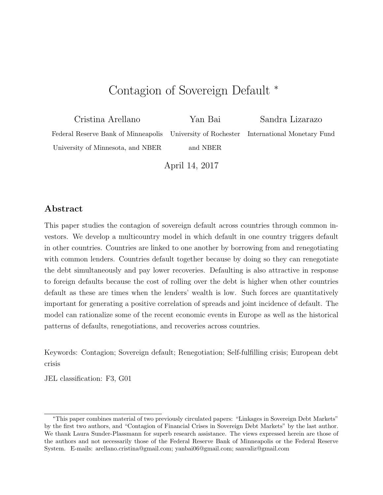# Contagion of Sovereign Default <sup>∗</sup>

Cristina Arellano Yan Bai Sandra Lizarazo Federal Reserve Bank of Minneapolis University of Rochester International Monetary Fund University of Minnesota, and NBER and NBER

April 14, 2017

#### Abstract

This paper studies the contagion of sovereign default across countries through common investors. We develop a multicountry model in which default in one country triggers default in other countries. Countries are linked to one another by borrowing from and renegotiating with common lenders. Countries default together because by doing so they can renegotiate the debt simultaneously and pay lower recoveries. Defaulting is also attractive in response to foreign defaults because the cost of rolling over the debt is higher when other countries default as these are times when the lenders' wealth is low. Such forces are quantitatively important for generating a positive correlation of spreads and joint incidence of default. The model can rationalize some of the recent economic events in Europe as well as the historical patterns of defaults, renegotiations, and recoveries across countries.

Keywords: Contagion; Sovereign default; Renegotiation; Self-fulfilling crisis; European debt crisis

JEL classification: F3, G01

<sup>∗</sup>This paper combines material of two previously circulated papers: "Linkages in Sovereign Debt Markets" by the first two authors, and "Contagion of Financial Crises in Sovereign Debt Markets" by the last author. We thank Laura Sunder-Plassmann for superb research assistance. The views expressed herein are those of the authors and not necessarily those of the Federal Reserve Bank of Minneapolis or the Federal Reserve System. E-mails: arellano.cristina@gmail.com; yanbai06@gmail.com; sanvaliz@gmail.com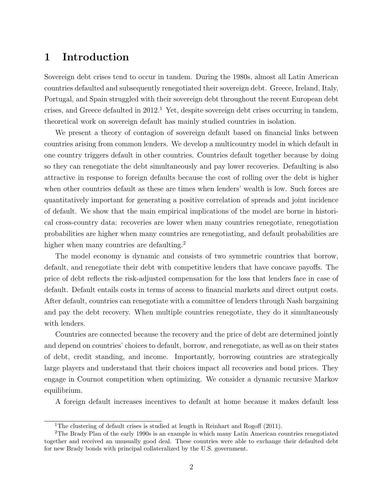# 1 Introduction

Sovereign debt crises tend to occur in tandem. During the 1980s, almost all Latin American countries defaulted and subsequently renegotiated their sovereign debt. Greece, Ireland, Italy, Portugal, and Spain struggled with their sovereign debt throughout the recent European debt crises, and Greece defaulted in  $2012<sup>1</sup>$  Yet, despite sovereign debt crises occurring in tandem, theoretical work on sovereign default has mainly studied countries in isolation.

We present a theory of contagion of sovereign default based on financial links between countries arising from common lenders. We develop a multicountry model in which default in one country triggers default in other countries. Countries default together because by doing so they can renegotiate the debt simultaneously and pay lower recoveries. Defaulting is also attractive in response to foreign defaults because the cost of rolling over the debt is higher when other countries default as these are times when lenders' wealth is low. Such forces are quantitatively important for generating a positive correlation of spreads and joint incidence of default. We show that the main empirical implications of the model are borne in historical cross-country data: recoveries are lower when many countries renegotiate, renegotiation probabilities are higher when many countries are renegotiating, and default probabilities are higher when many countries are defaulting.<sup>2</sup>

The model economy is dynamic and consists of two symmetric countries that borrow, default, and renegotiate their debt with competitive lenders that have concave payoffs. The price of debt reflects the risk-adjusted compensation for the loss that lenders face in case of default. Default entails costs in terms of access to financial markets and direct output costs. After default, countries can renegotiate with a committee of lenders through Nash bargaining and pay the debt recovery. When multiple countries renegotiate, they do it simultaneously with lenders.

Countries are connected because the recovery and the price of debt are determined jointly and depend on countries' choices to default, borrow, and renegotiate, as well as on their states of debt, credit standing, and income. Importantly, borrowing countries are strategically large players and understand that their choices impact all recoveries and bond prices. They engage in Cournot competition when optimizing. We consider a dynamic recursive Markov equilibrium.

A foreign default increases incentives to default at home because it makes default less

<sup>&</sup>lt;sup>1</sup>The clustering of default crises is studied at length in Reinhart and Rogoff  $(2011)$ .

<sup>2</sup>The Brady Plan of the early 1990s is an example in which many Latin American countries renegotiated together and received an unusually good deal. These countries were able to exchange their defaulted debt for new Brady bonds with principal collateralized by the U.S. government.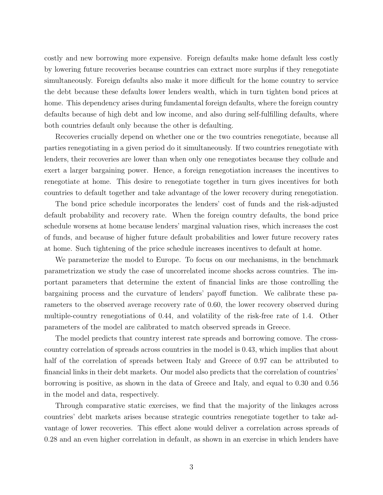costly and new borrowing more expensive. Foreign defaults make home default less costly by lowering future recoveries because countries can extract more surplus if they renegotiate simultaneously. Foreign defaults also make it more difficult for the home country to service the debt because these defaults lower lenders wealth, which in turn tighten bond prices at home. This dependency arises during fundamental foreign defaults, where the foreign country defaults because of high debt and low income, and also during self-fulfilling defaults, where both countries default only because the other is defaulting.

Recoveries crucially depend on whether one or the two countries renegotiate, because all parties renegotiating in a given period do it simultaneously. If two countries renegotiate with lenders, their recoveries are lower than when only one renegotiates because they collude and exert a larger bargaining power. Hence, a foreign renegotiation increases the incentives to renegotiate at home. This desire to renegotiate together in turn gives incentives for both countries to default together and take advantage of the lower recovery during renegotiation.

The bond price schedule incorporates the lenders' cost of funds and the risk-adjusted default probability and recovery rate. When the foreign country defaults, the bond price schedule worsens at home because lenders' marginal valuation rises, which increases the cost of funds, and because of higher future default probabilities and lower future recovery rates at home. Such tightening of the price schedule increases incentives to default at home.

We parameterize the model to Europe. To focus on our mechanisms, in the benchmark parametrization we study the case of uncorrelated income shocks across countries. The important parameters that determine the extent of financial links are those controlling the bargaining process and the curvature of lenders' payoff function. We calibrate these parameters to the observed average recovery rate of 0.60, the lower recovery observed during multiple-country renegotiations of 0.44, and volatility of the risk-free rate of 1.4. Other parameters of the model are calibrated to match observed spreads in Greece.

The model predicts that country interest rate spreads and borrowing comove. The crosscountry correlation of spreads across countries in the model is 0.43, which implies that about half of the correlation of spreads between Italy and Greece of 0.97 can be attributed to financial links in their debt markets. Our model also predicts that the correlation of countries' borrowing is positive, as shown in the data of Greece and Italy, and equal to 0.30 and 0.56 in the model and data, respectively.

Through comparative static exercises, we find that the majority of the linkages across countries' debt markets arises because strategic countries renegotiate together to take advantage of lower recoveries. This effect alone would deliver a correlation across spreads of 0.28 and an even higher correlation in default, as shown in an exercise in which lenders have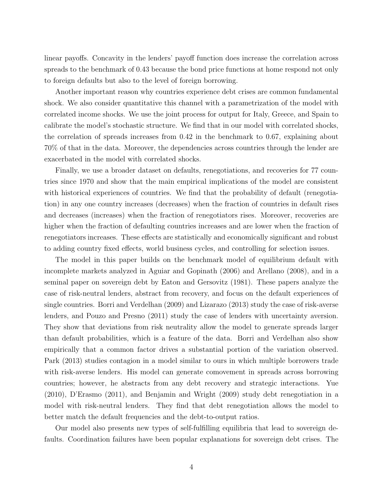linear payoffs. Concavity in the lenders' payoff function does increase the correlation across spreads to the benchmark of 0.43 because the bond price functions at home respond not only to foreign defaults but also to the level of foreign borrowing.

Another important reason why countries experience debt crises are common fundamental shock. We also consider quantitative this channel with a parametrization of the model with correlated income shocks. We use the joint process for output for Italy, Greece, and Spain to calibrate the model's stochastic structure. We find that in our model with correlated shocks, the correlation of spreads increases from 0.42 in the benchmark to 0.67, explaining about 70% of that in the data. Moreover, the dependencies across countries through the lender are exacerbated in the model with correlated shocks.

Finally, we use a broader dataset on defaults, renegotiations, and recoveries for 77 countries since 1970 and show that the main empirical implications of the model are consistent with historical experiences of countries. We find that the probability of default (renegotiation) in any one country increases (decreases) when the fraction of countries in default rises and decreases (increases) when the fraction of renegotiators rises. Moreover, recoveries are higher when the fraction of defaulting countries increases and are lower when the fraction of renegotiators increases. These effects are statistically and economically significant and robust to adding country fixed effects, world business cycles, and controlling for selection issues.

The model in this paper builds on the benchmark model of equilibrium default with incomplete markets analyzed in Aguiar and Gopinath (2006) and Arellano (2008), and in a seminal paper on sovereign debt by Eaton and Gersovitz (1981). These papers analyze the case of risk-neutral lenders, abstract from recovery, and focus on the default experiences of single countries. Borri and Verdelhan (2009) and Lizarazo (2013) study the case of risk-averse lenders, and Pouzo and Presno (2011) study the case of lenders with uncertainty aversion. They show that deviations from risk neutrality allow the model to generate spreads larger than default probabilities, which is a feature of the data. Borri and Verdelhan also show empirically that a common factor drives a substantial portion of the variation observed. Park (2013) studies contagion in a model similar to ours in which multiple borrowers trade with risk-averse lenders. His model can generate comovement in spreads across borrowing countries; however, he abstracts from any debt recovery and strategic interactions. Yue (2010), D'Erasmo (2011), and Benjamin and Wright (2009) study debt renegotiation in a model with risk-neutral lenders. They find that debt renegotiation allows the model to better match the default frequencies and the debt-to-output ratios.

Our model also presents new types of self-fulfilling equilibria that lead to sovereign defaults. Coordination failures have been popular explanations for sovereign debt crises. The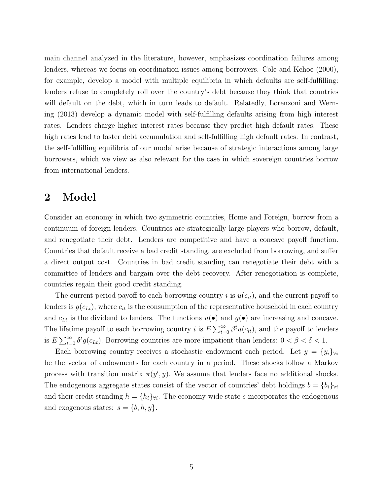main channel analyzed in the literature, however, emphasizes coordination failures among lenders, whereas we focus on coordination issues among borrowers. Cole and Kehoe (2000), for example, develop a model with multiple equilibria in which defaults are self-fulfilling: lenders refuse to completely roll over the country's debt because they think that countries will default on the debt, which in turn leads to default. Relatedly, Lorenzoni and Werning (2013) develop a dynamic model with self-fulfilling defaults arising from high interest rates. Lenders charge higher interest rates because they predict high default rates. These high rates lead to faster debt accumulation and self-fulfilling high default rates. In contrast, the self-fulfilling equilibria of our model arise because of strategic interactions among large borrowers, which we view as also relevant for the case in which sovereign countries borrow from international lenders.

### 2 Model

Consider an economy in which two symmetric countries, Home and Foreign, borrow from a continuum of foreign lenders. Countries are strategically large players who borrow, default, and renegotiate their debt. Lenders are competitive and have a concave payoff function. Countries that default receive a bad credit standing, are excluded from borrowing, and suffer a direct output cost. Countries in bad credit standing can renegotiate their debt with a committee of lenders and bargain over the debt recovery. After renegotiation is complete, countries regain their good credit standing.

The current period payoff to each borrowing country i is  $u(c_{it})$ , and the current payoff to lenders is  $g(c_{Lt})$ , where  $c_{it}$  is the consumption of the representative household in each country and  $c_{Lt}$  is the dividend to lenders. The functions  $u(\bullet)$  and  $g(\bullet)$  are increasing and concave. The lifetime payoff to each borrowing country *i* is  $E \sum_{t=0}^{\infty} \beta^t u(c_{it})$ , and the payoff to lenders is  $E\sum_{t=0}^{\infty} \delta^t g(c_{Lt})$ . Borrowing countries are more impatient than lenders:  $0 < \beta < \delta < 1$ .

Each borrowing country receives a stochastic endowment each period. Let  $y = \{y_i\}_{\forall i}$ be the vector of endowments for each country in a period. These shocks follow a Markov process with transition matrix  $\pi(y', y)$ . We assume that lenders face no additional shocks. The endogenous aggregate states consist of the vector of countries' debt holdings  $b = \{b_i\}_{\forall i}$ and their credit standing  $h = \{h_i\}_{\forall i}$ . The economy-wide state s incorporates the endogenous and exogenous states:  $s = \{b, h, y\}.$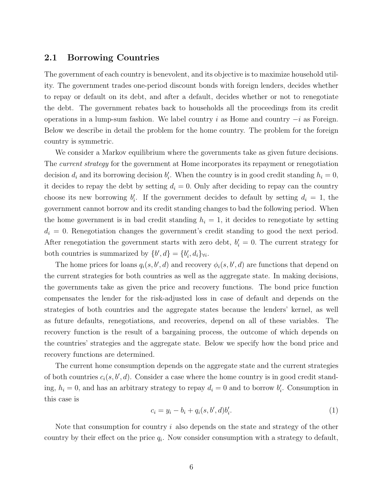#### 2.1 Borrowing Countries

The government of each country is benevolent, and its objective is to maximize household utility. The government trades one-period discount bonds with foreign lenders, decides whether to repay or default on its debt, and after a default, decides whether or not to renegotiate the debt. The government rebates back to households all the proceedings from its credit operations in a lump-sum fashion. We label country i as Home and country  $-i$  as Foreign. Below we describe in detail the problem for the home country. The problem for the foreign country is symmetric.

We consider a Markov equilibrium where the governments take as given future decisions. The *current strategy* for the government at Home incorporates its repayment or renegotiation decision  $d_i$  and its borrowing decision  $b'_i$ . When the country is in good credit standing  $h_i = 0$ , it decides to repay the debt by setting  $d_i = 0$ . Only after deciding to repay can the country choose its new borrowing  $b'_i$ . If the government decides to default by setting  $d_i = 1$ , the government cannot borrow and its credit standing changes to bad the following period. When the home government is in bad credit standing  $h_i = 1$ , it decides to renegotiate by setting  $d_i = 0$ . Renegotiation changes the government's credit standing to good the next period. After renegotiation the government starts with zero debt,  $b_i' = 0$ . The current strategy for both countries is summarized by  $\{b', d\} = \{b'_i, d_i\}_{\forall i}$ .

The home prices for loans  $q_i(s, b', d)$  and recovery  $\phi_i(s, b', d)$  are functions that depend on the current strategies for both countries as well as the aggregate state. In making decisions, the governments take as given the price and recovery functions. The bond price function compensates the lender for the risk-adjusted loss in case of default and depends on the strategies of both countries and the aggregate states because the lenders' kernel, as well as future defaults, renegotiations, and recoveries, depend on all of these variables. The recovery function is the result of a bargaining process, the outcome of which depends on the countries' strategies and the aggregate state. Below we specify how the bond price and recovery functions are determined.

The current home consumption depends on the aggregate state and the current strategies of both countries  $c_i(s, b', d)$ . Consider a case where the home country is in good credit standing,  $h_i = 0$ , and has an arbitrary strategy to repay  $d_i = 0$  and to borrow  $b'_i$ . Consumption in this case is

$$
c_i = y_i - b_i + q_i(s, b', d)b'_i.
$$
\n(1)

Note that consumption for country  $i$  also depends on the state and strategy of the other country by their effect on the price  $q_i$ . Now consider consumption with a strategy to default,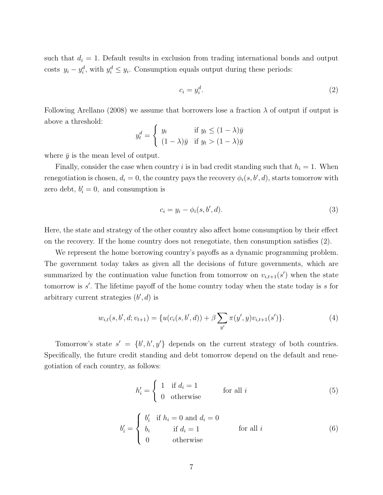such that  $d_i = 1$ . Default results in exclusion from trading international bonds and output costs  $y_i - y_i^d$ , with  $y_i^d \leq y_i$ . Consumption equals output during these periods:

$$
c_i = y_i^d. \tag{2}
$$

Following Arellano (2008) we assume that borrowers lose a fraction  $\lambda$  of output if output is above a threshold:

$$
y_t^d = \begin{cases} y_t & \text{if } y_t \le (1 - \lambda)\bar{y} \\ (1 - \lambda)\bar{y} & \text{if } y_t > (1 - \lambda)\bar{y} \end{cases}
$$

where  $\bar{y}$  is the mean level of output.

Finally, consider the case when country i is in bad credit standing such that  $h_i = 1$ . When renegotiation is chosen,  $d_i = 0$ , the country pays the recovery  $\phi_i(s, b', d)$ , starts tomorrow with zero debt,  $b_i' = 0$ , and consumption is

$$
c_i = y_i - \phi_i(s, b', d). \tag{3}
$$

Here, the state and strategy of the other country also affect home consumption by their effect on the recovery. If the home country does not renegotiate, then consumption satisfies (2).

We represent the home borrowing country's payoffs as a dynamic programming problem. The government today takes as given all the decisions of future governments, which are summarized by the continuation value function from tomorrow on  $v_{i,t+1}(s')$  when the state tomorrow is  $s'$ . The lifetime payoff of the home country today when the state today is  $s$  for arbitrary current strategies  $(b', d)$  is

$$
w_{i,t}(s,b',d;v_{t+1}) = \{u(c_i(s,b',d)) + \beta \sum_{y'} \pi(y',y)v_{i,t+1}(s')\}.
$$
\n(4)

Tomorrow's state  $s' = \{b', h', y'\}$  depends on the current strategy of both countries. Specifically, the future credit standing and debt tomorrow depend on the default and renegotiation of each country, as follows:

$$
h'_{i} = \begin{cases} 1 & \text{if } d_{i} = 1 \\ 0 & \text{otherwise} \end{cases} \qquad \text{for all } i \tag{5}
$$

$$
b'_{i} = \begin{cases} b'_{i} & \text{if } h_{i} = 0 \text{ and } d_{i} = 0\\ b_{i} & \text{if } d_{i} = 1\\ 0 & \text{otherwise} \end{cases}
$$
 (6)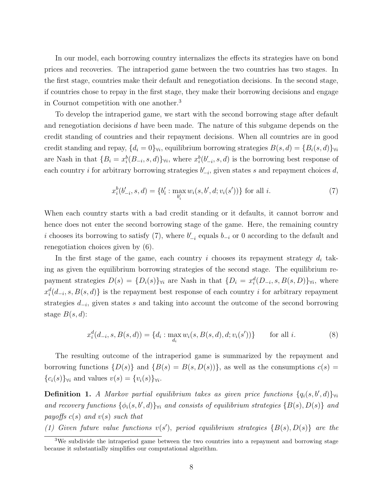In our model, each borrowing country internalizes the effects its strategies have on bond prices and recoveries. The intraperiod game between the two countries has two stages. In the first stage, countries make their default and renegotiation decisions. In the second stage, if countries chose to repay in the first stage, they make their borrowing decisions and engage in Cournot competition with one another.<sup>3</sup>

To develop the intraperiod game, we start with the second borrowing stage after default and renegotiation decisions  $d$  have been made. The nature of this subgame depends on the credit standing of countries and their repayment decisions. When all countries are in good credit standing and repay,  $\{d_i = 0\}_{\forall i}$ , equilibrium borrowing strategies  $B(s, d) = \{B_i(s, d)\}_{\forall i}$ are Nash in that  $\{B_i = x_i^b(B_{-i}, s, d)\}_{\forall i}$ , where  $x_i^b(b'_{-i}, s, d)$  is the borrowing best response of each country *i* for arbitrary borrowing strategies  $b'_{-i}$ , given states *s* and repayment choices *d*,

$$
x_i^b(b'_{-i}, s, d) = \{b'_i : \max_{b'_i} w_i(s, b', d; v_i(s'))\} \text{ for all } i.
$$
 (7)

When each country starts with a bad credit standing or it defaults, it cannot borrow and hence does not enter the second borrowing stage of the game. Here, the remaining country i chooses its borrowing to satisfy (7), where  $b'_{-i}$  equals  $b_{-i}$  or 0 according to the default and renegotiation choices given by (6).

In the first stage of the game, each country i chooses its repayment strategy  $d_i$  taking as given the equilibrium borrowing strategies of the second stage. The equilibrium repayment strategies  $D(s) = {D_i(s)}\text{ with } s \text{ in that } {D_i = x_i^d(D_{-i}, s, B(s, D)}\text{ with } s \text{ in } s$  $x_i^d(d_{-i}, s, B(s, d))$  is the repayment best response of each country i for arbitrary repayment strategies  $d_{-i}$ , given states s and taking into account the outcome of the second borrowing stage  $B(s, d)$ :

$$
x_i^d(d_{-i}, s, B(s, d)) = \{d_i : \max_{d_i} w_i(s, B(s, d), d; v_i(s'))\} \quad \text{for all } i.
$$
 (8)

The resulting outcome of the intraperiod game is summarized by the repayment and borrowing functions  $\{D(s)\}\$  and  $\{B(s) = B(s, D(s))\}\$ , as well as the consumptions  $c(s)$  ${c_i(s)}\forall i$  and values  $v(s) = {v_i(s)}\forall i$ .

**Definition 1.** A Markov partial equilibrium takes as given price functions  $\{q_i(s, b', d)\}\mathbf{v}_i$ and recovery functions  $\{\phi_i(s, b', d)\}_{\forall i}$  and consists of equilibrium strategies  $\{B(s), D(s)\}\$ and payoffs  $c(s)$  and  $v(s)$  such that

(1) Given future value functions  $v(s')$ , period equilibrium strategies  $\{B(s), D(s)\}\$  are the

<sup>&</sup>lt;sup>3</sup>We subdivide the intraperiod game between the two countries into a repayment and borrowing stage because it substantially simplifies our computational algorithm.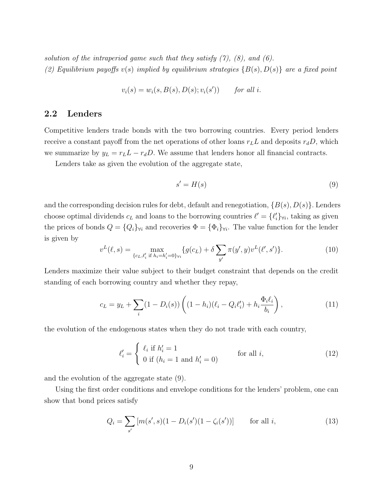solution of the intraperiod game such that they satisfy  $(7)$ ,  $(8)$ , and  $(6)$ . (2) Equilibrium payoffs  $v(s)$  implied by equilibrium strategies  $\{B(s), D(s)\}\$  are a fixed point

$$
v_i(s) = w_i(s, B(s), D(s); v_i(s')) \qquad \text{for all } i.
$$

#### 2.2 Lenders

Competitive lenders trade bonds with the two borrowing countries. Every period lenders receive a constant payoff from the net operations of other loans  $r_L L$  and deposits  $r_d D$ , which we summarize by  $y_L = r_L L - r_d D$ . We assume that lenders honor all financial contracts.

Lenders take as given the evolution of the aggregate state,

$$
s' = H(s) \tag{9}
$$

and the corresponding decision rules for debt, default and renegotiation,  $\{B(s), D(s)\}\.$  Lenders choose optimal dividends  $c_L$  and loans to the borrowing countries  $\ell' = \{\ell_i'\}_{\forall i}$ , taking as given the prices of bonds  $Q = \{Q_i\}_{\forall i}$  and recoveries  $\Phi = \{\Phi_i\}_{\forall i}$ . The value function for the lender is given by

$$
v^{L}(\ell, s) = \max_{\{c_L, \ell'_i \text{ if } h_i = h'_i = 0\} \forall i} \{g(c_L) + \delta \sum_{y'} \pi(y', y)v^{L}(\ell', s')\}.
$$
 (10)

Lenders maximize their value subject to their budget constraint that depends on the credit standing of each borrowing country and whether they repay,

$$
c_L = y_L + \sum_i (1 - D_i(s)) \left( (1 - h_i)(\ell_i - Q_i \ell'_i) + h_i \frac{\Phi_i \ell_i}{b_i} \right), \tag{11}
$$

the evolution of the endogenous states when they do not trade with each country,

$$
\ell_i' = \begin{cases} \ell_i & \text{if } h_i' = 1 \\ 0 & \text{if } (h_i = 1 \text{ and } h_i' = 0) \end{cases} \qquad \text{for all } i,
$$
 (12)

and the evolution of the aggregate state (9).

Using the first order conditions and envelope conditions for the lenders' problem, one can show that bond prices satisfy

$$
Q_i = \sum_{s'} [m(s', s)(1 - D_i(s')(1 - \zeta_i(s'))]
$$
 for all *i*, (13)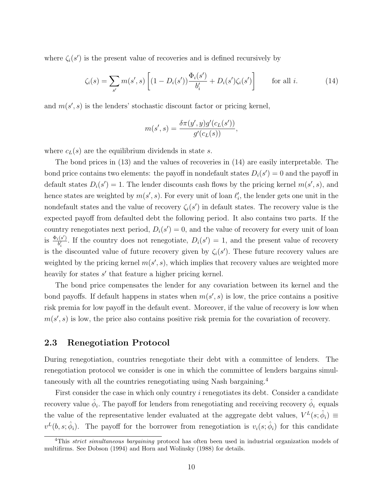where  $\zeta_i(s')$  is the present value of recoveries and is defined recursively by

$$
\zeta_i(s) = \sum_{s'} m(s', s) \left[ (1 - D_i(s')) \frac{\Phi_i(s')}{b'_i} + D_i(s') \zeta_i(s') \right] \quad \text{for all } i. \tag{14}
$$

and  $m(s', s)$  is the lenders' stochastic discount factor or pricing kernel,

$$
m(s',s) = \frac{\delta \pi(y',y)g'(c_L(s'))}{g'(c_L(s))},
$$

where  $c_L(s)$  are the equilibrium dividends in state s.

The bond prices in (13) and the values of recoveries in (14) are easily interpretable. The bond price contains two elements: the payoff in nondefault states  $D_i(s') = 0$  and the payoff in default states  $D_i(s') = 1$ . The lender discounts cash flows by the pricing kernel  $m(s', s)$ , and hence states are weighted by  $m(s', s)$ . For every unit of loan  $\ell'_i$ , the lender gets one unit in the nondefault states and the value of recovery  $\zeta_i(s')$  in default states. The recovery value is the expected payoff from defaulted debt the following period. It also contains two parts. If the country renegotiates next period,  $D_i(s') = 0$ , and the value of recovery for every unit of loan is  $\frac{\Phi_i(s')}{b'}$  $\frac{\partial f_i(s')}{b'_i}$ . If the country does not renegotiate,  $D_i(s') = 1$ , and the present value of recovery is the discounted value of future recovery given by  $\zeta_i(s')$ . These future recovery values are weighted by the pricing kernel  $m(s', s)$ , which implies that recovery values are weighted more heavily for states  $s'$  that feature a higher pricing kernel.

The bond price compensates the lender for any covariation between its kernel and the bond payoffs. If default happens in states when  $m(s', s)$  is low, the price contains a positive risk premia for low payoff in the default event. Moreover, if the value of recovery is low when  $m(s', s)$  is low, the price also contains positive risk premia for the covariation of recovery.

#### 2.3 Renegotiation Protocol

During renegotiation, countries renegotiate their debt with a committee of lenders. The renegotiation protocol we consider is one in which the committee of lenders bargains simultaneously with all the countries renegotiating using Nash bargaining.<sup>4</sup>

First consider the case in which only country *i* renegotiates its debt. Consider a candidate recovery value  $\hat{\phi}_i$ . The payoff for lenders from renegotiating and receiving recovery  $\hat{\phi}_i$  equals the value of the representative lender evaluated at the aggregate debt values,  $V^L(s; \hat{\phi}_i) \equiv$  $v^L(b,s;\hat{\phi}_i)$ . The payoff for the borrower from renegotiation is  $v_i(s;\hat{\phi}_i)$  for this candidate

<sup>&</sup>lt;sup>4</sup>This *strict simultaneous bargaining* protocol has often been used in industrial organization models of multifirms. See Dobson (1994) and Horn and Wolinsky (1988) for details.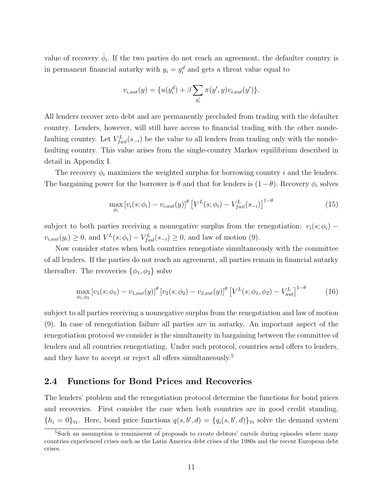value of recovery  $\hat{\phi}_i$ . If the two parties do not reach an agreement, the defaulter country is in permanent financial autarky with  $y_i = y_i^d$  and gets a threat value equal to

$$
v_{i,aut}(y) = \{u(y_i^d) + \beta \sum_{y'_i} \pi(y', y)v_{i,aut}(y')\}.
$$

All lenders recover zero debt and are permanently precluded from trading with the defaulter country. Lenders, however, will still have access to financial trading with the other nondefaulting country. Let  $V_{fail}^{L}(s_{-i})$  be the value to all lenders from trading only with the nondefaulting country. This value arises from the single-country Markov equilibrium described in detail in Appendix I.

The recovery  $\phi_i$  maximizes the weighted surplus for borrowing country i and the lenders. The bargaining power for the borrower is  $\theta$  and that for lenders is  $(1 - \theta)$ . Recovery  $\phi_i$  solves

$$
\max_{\phi_i} \left[ v_i(s; \phi_i) - v_{i,aut}(y) \right]^\theta \left[ V^L(s; \phi_i) - V^L_{fail}(s_{-i}) \right]^{1-\theta} \tag{15}
$$

subject to both parties receiving a nonnegative surplus from the renegotiation:  $v_i(s; \phi_i)$  –  $v_{i,aut}(y_i) \geq 0$ , and  $V^L(s; \phi_i) - V^L_{fail}(s_{-i}) \geq 0$ , and law of motion (9).

Now consider states when both countries renegotiate simultaneously with the committee of all lenders. If the parties do not reach an agreement, all parties remain in financial autarky thereafter. The recoveries  $\{\phi_1, \phi_2\}$  solve

$$
\max_{\phi_1, \phi_2} \left[ v_1(s; \phi_1) - v_{1, aut}(y) \right]^\theta \left[ v_2(s; \phi_2) - v_{2, aut}(y) \right]^\theta \left[ V^L(s; \phi_1, \phi_2) - V^L_{aut} \right]^{1-\theta} \tag{16}
$$

subject to all parties receiving a nonnegative surplus from the renegotiation and law of motion (9). In case of renegotiation failure all parties are in autarky. An important aspect of the renegotiation protocol we consider is the simultaneity in bargaining between the committee of lenders and all countries renegotiating. Under such protocol, countries send offers to lenders, and they have to accept or reject all offers simultaneously.<sup>5</sup>

#### 2.4 Functions for Bond Prices and Recoveries

The lenders' problem and the renegotiation protocol determine the functions for bond prices and recoveries. First consider the case when both countries are in good credit standing,  ${h_i = 0}_{\forall i}$ . Here, bond price functions  $q(s, b', d) = {q_i(s, b', d)}_{\forall i}$  solve the demand system

<sup>&</sup>lt;sup>5</sup>Such an assumption is reminiscent of proposals to create debtors' cartels during episodes where many countries experienced crises such as the Latin America debt crises of the 1980s and the recent European debt crises.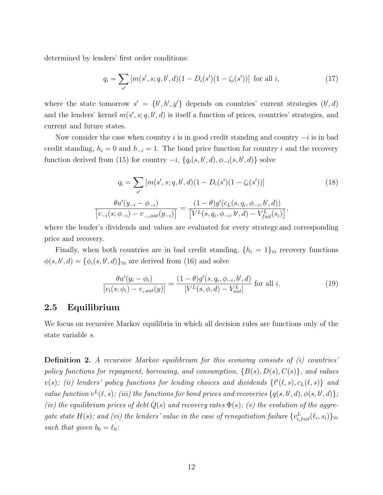determined by lenders' first order conditions:

$$
q_i = \sum_{s'} [m(s', s; q, b', d)(1 - D_i(s')(1 - \zeta_i(s'))] \text{ for all } i,
$$
\n(17)

where the state tomorrow  $s' = \{b', h', y'\}$  depends on countries' current strategies  $(b', d)$ and the lenders' kernel  $m(s', s; q, b', d)$  is itself a function of prices, countries' strategies, and current and future states.

Now consider the case when country i is in good credit standing and country  $-i$  is in bad credit standing,  $h_i = 0$  and  $h_{-i} = 1$ . The bond price function for country i and the recovery function derived from (15) for country  $-i$ ,  $\{q_i(s, b', d), \phi_{-i}(s, b', d)\}$  solve

$$
q_i = \sum_{s'} [m(s', s; q, b', d)(1 - D_i(s')(1 - \zeta_i(s'))]
$$
(18)  

$$
\frac{\theta u'(y_{-i} - \phi_{-i})}{[v_{-i}(s; \phi_{-i}) - v_{-i, aut}(y_{-i})]} = \frac{(1 - \theta)g'(c_L(s, q_i, \phi_{-i}, b', d))}{[V^L(s, q_i, \phi_{-i}, b', d) - V^L_{fail}(s_i)]},
$$

where the lender's dividends and values are evaluated for every strategy and corresponding price and recovery.

Finally, when both countries are in bad credit standing,  $\{h_i = 1\}\forall i$  recovery functions  $\phi(s, b', d) = {\phi_i(s, b', d)}_{\forall i}$  are derived from (16) and solve

$$
\frac{\theta u'(y_i - \phi_i)}{[v_i(s; \phi_i) - v_{i, \text{aut}}(y)]} = \frac{(1 - \theta)g'(s, q_i, \phi_{-i}, b', d)}{[V^L(s, \phi, d) - V^L_{\text{aut}}]} \text{ for all } i.
$$
\n(19)

#### 2.5 Equilibrium

We focus on recursive Markov equilibria in which all decision rules are functions only of the state variable s.

**Definition 2.** A recursive Markov equilibrium for this economy consists of  $(i)$  countries' policy functions for repayment, borrowing, and consumption,  ${B(s), D(s), C(s)}$ , and values  $v(s)$ ; (ii) lenders' policy functions for lending choices and dividends  $\{\ell'(\ell, s), c_L(\ell, s)\}\$  and value function  $v^L(\ell, s)$ ; (iii) the functions for bond prices and recoveries  $\{q(s, b', d), \phi(s, b', d)\}$ ; (iv) the equilibrium prices of debt  $Q(s)$  and recovery rates  $\Phi(s)$ ; (v) the evolution of the aggregate state H(s); and (vi) the lenders' value in the case of renegotiation failure  $\{v_{i,fail}^L(\ell_i,s_i)\}_{\forall i}$ such that given  $b_0 = \ell_0$ :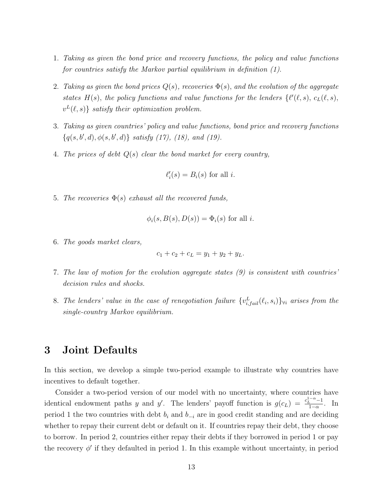- 1. Taking as given the bond price and recovery functions, the policy and value functions for countries satisfy the Markov partial equilibrium in definition (1).
- 2. Taking as given the bond prices  $Q(s)$ , recoveries  $\Phi(s)$ , and the evolution of the aggregate states H(s), the policy functions and value functions for the lenders  $\{\ell'(\ell, s), c_L(\ell, s),\}$  $v^L(\ell, s)$  satisfy their optimization problem.
- 3. Taking as given countries' policy and value functions, bond price and recovery functions  ${q(s, b', d), \phi(s, b', d)}$  satisfy (17), (18), and (19).
- 4. The prices of debt  $Q(s)$  clear the bond market for every country,

$$
\ell_i'(s) = B_i(s)
$$
 for all *i*.

5. The recoveries  $\Phi(s)$  exhaust all the recovered funds,

$$
\phi_i(s, B(s), D(s)) = \Phi_i(s) \text{ for all } i.
$$

6. The goods market clears,

$$
c_1 + c_2 + c_L = y_1 + y_2 + y_L.
$$

- 7. The law of motion for the evolution aggregate states (9) is consistent with countries' decision rules and shocks.
- 8. The lenders' value in the case of renegotiation failure  $\{v_{i,fail}^L(\ell_i, s_i)\}\forall i$  arises from the single-country Markov equilibrium.

### 3 Joint Defaults

In this section, we develop a simple two-period example to illustrate why countries have incentives to default together.

Consider a two-period version of our model with no uncertainty, where countries have identical endowment paths y and y'. The lenders' payoff function is  $g(c_L) = \frac{c_L^{1-\alpha}-1}{1-\alpha}$  $\frac{1}{1-\alpha}$ . In period 1 the two countries with debt  $b_i$  and  $b_{-i}$  are in good credit standing and are deciding whether to repay their current debt or default on it. If countries repay their debt, they choose to borrow. In period 2, countries either repay their debts if they borrowed in period 1 or pay the recovery  $\phi'$  if they defaulted in period 1. In this example without uncertainty, in period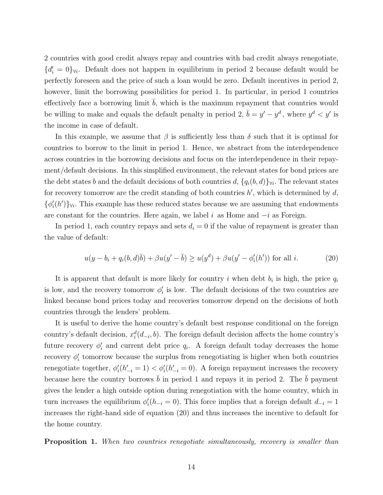2 countries with good credit always repay and countries with bad credit always renegotiate,  ${d'_{i} = 0}_{\forall i}$ . Default does not happen in equilibrium in period 2 because default would be perfectly foreseen and the price of such a loan would be zero. Default incentives in period 2, however, limit the borrowing possibilities for period 1. In particular, in period 1 countries effectively face a borrowing limit  $b$ , which is the maximum repayment that countries would be willing to make and equals the default penalty in period 2,  $\bar{b} = y' - y^d$ , where  $y^d < y'$  is the income in case of default.

In this example, we assume that  $\beta$  is sufficiently less than  $\delta$  such that it is optimal for countries to borrow to the limit in period 1. Hence, we abstract from the interdependence across countries in the borrowing decisions and focus on the interdependence in their repayment/default decisions. In this simplified environment, the relevant states for bond prices are the debt states b and the default decisions of both countries  $d$ ,  $\{q_i(b, d)\}\forall i$ . The relevant states for recovery tomorrow are the credit standing of both countries  $h'$ , which is determined by  $d$ ,  $\{\phi'_i(h')\}_{\forall i}$ . This example has these reduced states because we are assuming that endowments are constant for the countries. Here again, we label i as Home and  $-i$  as Foreign.

In period 1, each country repays and sets  $d_i = 0$  if the value of repayment is greater than the value of default:

$$
u(y - b_i + q_i(b, d)\bar{b}) + \beta u(y' - \bar{b}) \ge u(y^d) + \beta u(y' - \phi'_i(h')) \text{ for all } i.
$$
 (20)

It is apparent that default is more likely for country i when debt  $b_i$  is high, the price  $q_i$ is low, and the recovery tomorrow  $\phi_i'$  is low. The default decisions of the two countries are linked because bond prices today and recoveries tomorrow depend on the decisions of both countries through the lenders' problem.

It is useful to derive the home country's default best response conditional on the foreign country's default decision,  $x_i^d(d_{-i}, b)$ . The foreign default decision affects the home country's future recovery  $\phi'_i$  and current debt price  $q_i$ . A foreign default today decreases the home recovery  $\phi_i'$  tomorrow because the surplus from renegotiating is higher when both countries renegotiate together,  $\phi_i'(h'_{-i} = 1) < \phi_i'(h'_{-i} = 0)$ . A foreign repayment increases the recovery because here the country borrows  $b$  in period 1 and repays it in period 2. The  $b$  payment gives the lender a high outside option during renegotiation with the home country, which in turn increases the equilibrium  $\phi_i'(h_{-i} = 0)$ . This force implies that a foreign default  $d_{-i} = 1$ increases the right-hand side of equation (20) and thus increases the incentive to default for the home country.

**Proposition 1.** When two countries renegotiate simultaneously, recovery is smaller than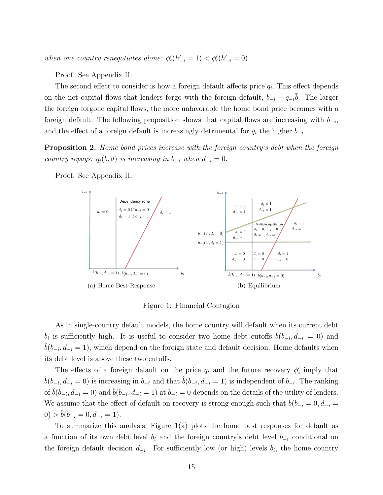when one country renegotiates alone:  $\phi_i'(h'_{-i} = 1) < \phi_i'(h'_{-i} = 0)$ 

Proof. See Appendix II.

The second effect to consider is how a foreign default affects price  $q_i$ . This effect depends on the net capital flows that lenders forgo with the foreign default,  $b_{-i} - q_{-i}b$ . The larger the foreign forgone capital flows, the more unfavorable the home bond price becomes with a foreign default. The following proposition shows that capital flows are increasing with  $b_{-i}$ , and the effect of a foreign default is increasingly detrimental for  $q_i$  the higher  $b_{-i}$ .

**Proposition 2.** Home bond prices increase with the foreign country's debt when the foreign country repays:  $q_i(b, d)$  is increasing in  $b_{-i}$  when  $d_{-i} = 0$ .



Proof. See Appendix II.

Figure 1: Financial Contagion

As in single-country default models, the home country will default when its current debt  $b_i$  is sufficiently high. It is useful to consider two home debt cutoffs  $\hat{b}(b_{-i}, d_{-i} = 0)$  and  $\hat{b}(b_{-i}, d_{-i} = 1)$ , which depend on the foreign state and default decision. Home defaults when its debt level is above these two cutoffs.

The effects of a foreign default on the price  $q_i$  and the future recovery  $\phi'_i$  imply that  $\hat{b}(b_{-i}, d_{-i} = 0)$  is increasing in  $b_{-i}$  and that  $\hat{b}(b_{-i}, d_{-i} = 1)$  is independent of  $b_{-i}$ . The ranking of  $\hat{b}(b_{-i}, d_{-i} = 0)$  and  $\hat{b}(b_{-i}, d_{-i} = 1)$  at  $b_{-i} = 0$  depends on the details of the utility of lenders. We assume that the effect of default on recovery is strong enough such that  $\ddot{b}(b_{-i} = 0, d_{-i} = 0)$  $0) > b(b_{-i} = 0, d_{-i} = 1).$ 

To summarize this analysis, Figure 1(a) plots the home best responses for default as a function of its own debt level  $b_i$  and the foreign country's debt level  $b_{-i}$  conditional on the foreign default decision  $d_{-i}$ . For sufficiently low (or high) levels  $b_i$ , the home country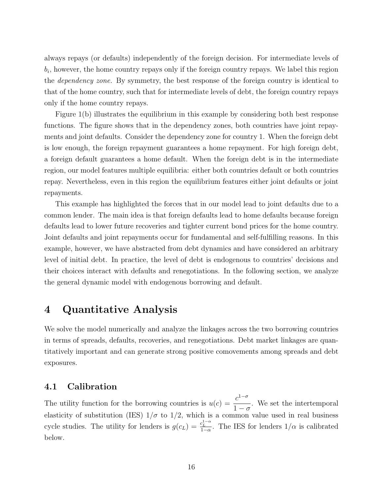always repays (or defaults) independently of the foreign decision. For intermediate levels of  $b_i$ , however, the home country repays only if the foreign country repays. We label this region the dependency zone. By symmetry, the best response of the foreign country is identical to that of the home country, such that for intermediate levels of debt, the foreign country repays only if the home country repays.

Figure 1(b) illustrates the equilibrium in this example by considering both best response functions. The figure shows that in the dependency zones, both countries have joint repayments and joint defaults. Consider the dependency zone for country 1. When the foreign debt is low enough, the foreign repayment guarantees a home repayment. For high foreign debt, a foreign default guarantees a home default. When the foreign debt is in the intermediate region, our model features multiple equilibria: either both countries default or both countries repay. Nevertheless, even in this region the equilibrium features either joint defaults or joint repayments.

This example has highlighted the forces that in our model lead to joint defaults due to a common lender. The main idea is that foreign defaults lead to home defaults because foreign defaults lead to lower future recoveries and tighter current bond prices for the home country. Joint defaults and joint repayments occur for fundamental and self-fulfilling reasons. In this example, however, we have abstracted from debt dynamics and have considered an arbitrary level of initial debt. In practice, the level of debt is endogenous to countries' decisions and their choices interact with defaults and renegotiations. In the following section, we analyze the general dynamic model with endogenous borrowing and default.

## 4 Quantitative Analysis

We solve the model numerically and analyze the linkages across the two borrowing countries in terms of spreads, defaults, recoveries, and renegotiations. Debt market linkages are quantitatively important and can generate strong positive comovements among spreads and debt exposures.

#### 4.1 Calibration

The utility function for the borrowing countries is  $u(c) = \frac{c^{1-\sigma}}{1-\sigma}$  $1-\sigma$ . We set the intertemporal elasticity of substitution (IES)  $1/\sigma$  to  $1/2$ , which is a common value used in real business cycle studies. The utility for lenders is  $g(c_L) = \frac{c_L^{1-\alpha}}{1-\alpha}$ . The IES for lenders  $1/\alpha$  is calibrated below.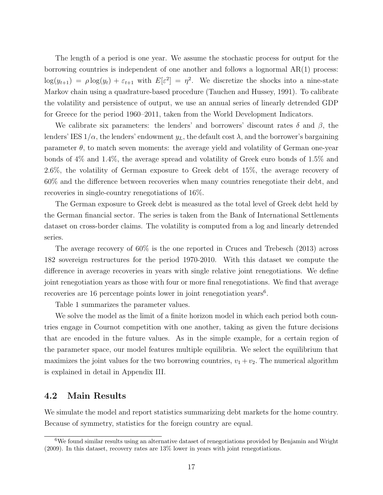The length of a period is one year. We assume the stochastic process for output for the borrowing countries is independent of one another and follows a lognormal AR(1) process:  $\log(y_{t+1}) = \rho \log(y_t) + \varepsilon_{t+1}$  with  $E[\varepsilon^2] = \eta^2$ . We discretize the shocks into a nine-state Markov chain using a quadrature-based procedure (Tauchen and Hussey, 1991). To calibrate the volatility and persistence of output, we use an annual series of linearly detrended GDP for Greece for the period 1960–2011, taken from the World Development Indicators.

We calibrate six parameters: the lenders' and borrowers' discount rates  $\delta$  and  $\beta$ , the lenders' IES  $1/\alpha$ , the lenders' endowment  $y_L$ , the default cost  $\lambda$ , and the borrower's bargaining parameter  $\theta$ , to match seven moments: the average yield and volatility of German one-year bonds of 4% and 1.4%, the average spread and volatility of Greek euro bonds of 1.5% and 2.6%, the volatility of German exposure to Greek debt of 15%, the average recovery of 60% and the difference between recoveries when many countries renegotiate their debt, and recoveries in single-country renegotiations of 16%.

The German exposure to Greek debt is measured as the total level of Greek debt held by the German financial sector. The series is taken from the Bank of International Settlements dataset on cross-border claims. The volatility is computed from a log and linearly detrended series.

The average recovery of 60% is the one reported in Cruces and Trebesch (2013) across 182 sovereign restructures for the period 1970-2010. With this dataset we compute the difference in average recoveries in years with single relative joint renegotiations. We define joint renegotiation years as those with four or more final renegotiations. We find that average recoveries are 16 percentage points lower in joint renegotiation years<sup>6</sup>.

Table 1 summarizes the parameter values.

We solve the model as the limit of a finite horizon model in which each period both countries engage in Cournot competition with one another, taking as given the future decisions that are encoded in the future values. As in the simple example, for a certain region of the parameter space, our model features multiple equilibria. We select the equilibrium that maximizes the joint values for the two borrowing countries,  $v_1 + v_2$ . The numerical algorithm is explained in detail in Appendix III.

#### 4.2 Main Results

We simulate the model and report statistics summarizing debt markets for the home country. Because of symmetry, statistics for the foreign country are equal.

<sup>&</sup>lt;sup>6</sup>We found similar results using an alternative dataset of renegotiations provided by Benjamin and Wright (2009). In this dataset, recovery rates are 13% lower in years with joint renegotiations.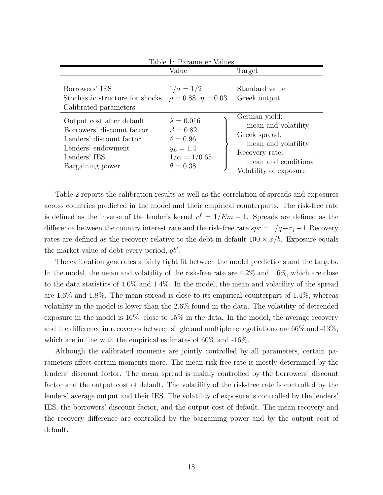|                                                                                                                                               | Table 1: Parameter Values                                                                                       |                                                                                                                                                  |
|-----------------------------------------------------------------------------------------------------------------------------------------------|-----------------------------------------------------------------------------------------------------------------|--------------------------------------------------------------------------------------------------------------------------------------------------|
|                                                                                                                                               | Value                                                                                                           | Target                                                                                                                                           |
| Borrowers' IES<br>Stochastic structure for shocks $\rho = 0.88, \eta = 0.03$<br>Calibrated parameters                                         | $1/\sigma = 1/2$                                                                                                | Standard value<br>Greek output                                                                                                                   |
| Output cost after default<br>Borrowers' discount factor<br>Lenders' discount factor<br>Lenders' endowment<br>Lenders' IES<br>Bargaining power | $\lambda = 0.016$<br>$\beta = 0.82$<br>$\delta = 0.96$<br>$y_L = 1.4$<br>$1/\alpha = 1/0.65$<br>$\theta = 0.38$ | German yield:<br>mean and volatility<br>Greek spread:<br>mean and volatility<br>Recovery rate:<br>mean and conditional<br>Volatility of exposure |

Table 2 reports the calibration results as well as the correlation of spreads and exposures across countries predicted in the model and their empirical counterparts. The risk-free rate is defined as the inverse of the lender's kernel  $r^f = 1/Em - 1$ . Spreads are defined as the difference between the country interest rate and the risk-free rate  $spr = 1/q - r_f - 1$ . Recovery rates are defined as the recovery relative to the debt in default  $100 \times \phi/b$ . Exposure equals the market value of debt every period,  $q b'$ .

The calibration generates a fairly tight fit between the model predictions and the targets. In the model, the mean and volatility of the risk-free rate are 4.2% and 1.6%, which are close to the data statistics of 4.0% and 1.4%. In the model, the mean and volatility of the spread are 1.6% and 1.8%. The mean spread is close to its empirical counterpart of 1.4%, whereas volatility in the model is lower than the 2.6% found in the data. The volatility of detrended exposure in the model is 16%, close to 15% in the data. In the model, the average recovery and the difference in recoveries between single and multiple renegotiations are 66% and -13%, which are in line with the empirical estimates of 60% and -16%.

Although the calibrated moments are jointly controlled by all parameters, certain parameters affect certain moments more. The mean risk-free rate is mostly determined by the lenders' discount factor. The mean spread is mainly controlled by the borrowers' discount factor and the output cost of default. The volatility of the risk-free rate is controlled by the lenders' average output and their IES. The volatility of exposure is controlled by the lenders' IES, the borrowers' discount factor, and the output cost of default. The mean recovery and the recovery difference are controlled by the bargaining power and by the output cost of default.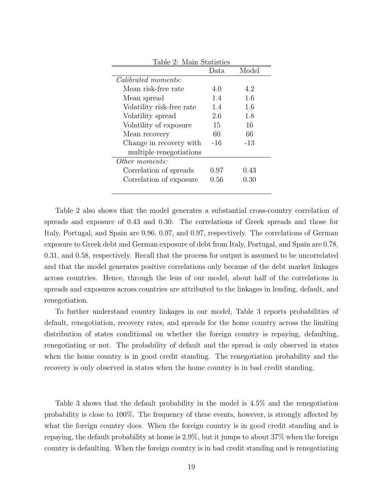| Table 2: Main Statistics   |          |       |
|----------------------------|----------|-------|
|                            | Data     | Model |
| <i>Calibrated moments:</i> |          |       |
| Mean risk-free rate        | 4.0      | 4.2   |
| Mean spread                | 1.4      | 1.6   |
| Volatility risk-free rate  | 1.4      | 1.6   |
| Volatility spread          | 2.6      | 1.8   |
| Volatility of exposure     | 15       | 16    |
| Mean recovery              | 60       | 66    |
| Change in recovery with    | -16      | -13   |
| multiple renegotiations    |          |       |
| Other moments:             |          |       |
| Correlation of spreads     | 0.97     | 0.43  |
| Correlation of exposure    | $0.56\,$ | 0.30  |
|                            |          |       |

Table 2 also shows that the model generates a substantial cross-country correlation of spreads and exposure of 0.43 and 0.30. The correlations of Greek spreads and those for Italy, Portugal, and Spain are 0.96, 0.97, and 0.97, respectively. The correlations of German exposure to Greek debt and German exposure of debt from Italy, Portugal, and Spain are 0.78, 0.31, and 0.58, respectively. Recall that the process for output is assumed to be uncorrelated and that the model generates positive correlations only because of the debt market linkages across countries. Hence, through the lens of our model, about half of the correlations in spreads and exposures across countries are attributed to the linkages in lending, default, and renegotiation.

To further understand country linkages in our model, Table 3 reports probabilities of default, renegotiation, recovery rates, and spreads for the home country across the limiting distribution of states conditional on whether the foreign country is repaying, defaulting, renegotiating or not. The probability of default and the spread is only observed in states when the home country is in good credit standing. The renegotiation probability and the recovery is only observed in states when the home country is in bad credit standing.

Table 3 shows that the default probability in the model is 4.5% and the renegotiation probability is close to 100%. The frequency of these events, however, is strongly affected by what the foreign country does. When the foreign country is in good credit standing and is repaying, the default probability at home is 2.9%, but it jumps to about 37% when the foreign country is defaulting. When the foreign country is in bad credit standing and is renegotiating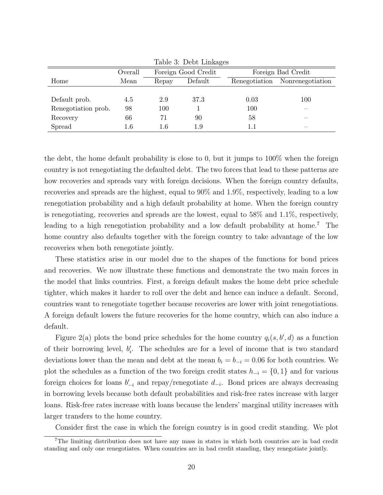|                     |         |       | тарле э: Dept Linkages |               |                    |
|---------------------|---------|-------|------------------------|---------------|--------------------|
|                     | Overall |       | Foreign Good Credit    |               | Foreign Bad Credit |
| Home                | Mean    | Repay | Default                | Renegotiation | Nonrenegotiation   |
|                     |         |       |                        |               |                    |
| Default prob.       | 4.5     | 2.9   | 37.3                   | 0.03          | 100                |
| Renegotiation prob. | 98      | 100   |                        | 100           |                    |
| Recovery            | 66      | 71    | 90                     | 58            |                    |
| Spread              | 1.6     | 1.6   | 1.9                    | 1.1           |                    |

 $Table 2. Doht$  Links

the debt, the home default probability is close to 0, but it jumps to 100% when the foreign country is not renegotiating the defaulted debt. The two forces that lead to these patterns are how recoveries and spreads vary with foreign decisions. When the foreign country defaults, recoveries and spreads are the highest, equal to 90% and 1.9%, respectively, leading to a low renegotiation probability and a high default probability at home. When the foreign country is renegotiating, recoveries and spreads are the lowest, equal to 58% and 1.1%, respectively, leading to a high renegotiation probability and a low default probability at home.<sup>7</sup> The home country also defaults together with the foreign country to take advantage of the low recoveries when both renegotiate jointly.

These statistics arise in our model due to the shapes of the functions for bond prices and recoveries. We now illustrate these functions and demonstrate the two main forces in the model that links countries. First, a foreign default makes the home debt price schedule tighter, which makes it harder to roll over the debt and hence can induce a default. Second, countries want to renegotiate together because recoveries are lower with joint renegotiations. A foreign default lowers the future recoveries for the home country, which can also induce a default.

Figure 2(a) plots the bond price schedules for the home country  $q_i(s, b', d)$  as a function of their borrowing level,  $b'_i$ . The schedules are for a level of income that is two standard deviations lower than the mean and debt at the mean  $b_i = b_{-i} = 0.06$  for both countries. We plot the schedules as a function of the two foreign credit states  $h_{-i} = \{0, 1\}$  and for various foreign choices for loans  $b'_{-i}$  and repay/renegotiate  $d_{-i}$ . Bond prices are always decreasing in borrowing levels because both default probabilities and risk-free rates increase with larger loans. Risk-free rates increase with loans because the lenders' marginal utility increases with larger transfers to the home country.

Consider first the case in which the foreign country is in good credit standing. We plot

<sup>7</sup>The limiting distribution does not have any mass in states in which both countries are in bad credit standing and only one renegotiates. When countries are in bad credit standing, they renegotiate jointly.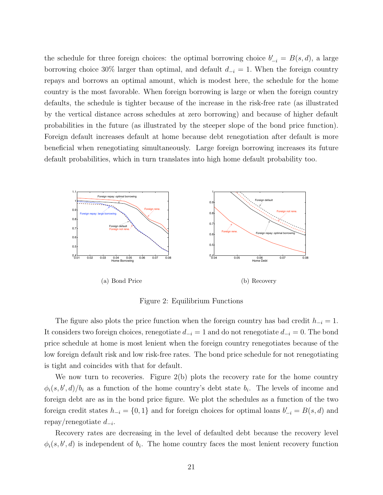the schedule for three foreign choices: the optimal borrowing choice  $b'_{-i} = B(s, d)$ , a large borrowing choice 30% larger than optimal, and default  $d_{-i} = 1$ . When the foreign country repays and borrows an optimal amount, which is modest here, the schedule for the home country is the most favorable. When foreign borrowing is large or when the foreign country defaults, the schedule is tighter because of the increase in the risk-free rate (as illustrated by the vertical distance across schedules at zero borrowing) and because of higher default probabilities in the future (as illustrated by the steeper slope of the bond price function). Foreign default increases default at home because debt renegotiation after default is more beneficial when renegotiating simultaneously. Large foreign borrowing increases its future default probabilities, which in turn translates into high home default probability too.



Figure 2: Equilibrium Functions

The figure also plots the price function when the foreign country has bad credit  $h_{-i} = 1$ . It considers two foreign choices, renegotiate  $d_{-i} = 1$  and do not renegotiate  $d_{-i} = 0$ . The bond price schedule at home is most lenient when the foreign country renegotiates because of the low foreign default risk and low risk-free rates. The bond price schedule for not renegotiating is tight and coincides with that for default.

We now turn to recoveries. Figure 2(b) plots the recovery rate for the home country  $\phi_i(s, b', d)/b_i$  as a function of the home country's debt state  $b_i$ . The levels of income and foreign debt are as in the bond price figure. We plot the schedules as a function of the two foreign credit states  $h_{-i} = \{0, 1\}$  and for foreign choices for optimal loans  $b'_{-i} = B(s, d)$  and repay/renegotiate  $d_{-i}$ .

Recovery rates are decreasing in the level of defaulted debt because the recovery level  $\phi_i(s, b', d)$  is independent of  $b_i$ . The home country faces the most lenient recovery function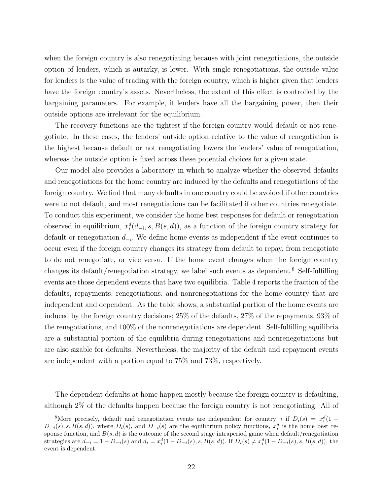when the foreign country is also renegotiating because with joint renegotiations, the outside option of lenders, which is autarky, is lower. With single renegotiations, the outside value for lenders is the value of trading with the foreign country, which is higher given that lenders have the foreign country's assets. Nevertheless, the extent of this effect is controlled by the bargaining parameters. For example, if lenders have all the bargaining power, then their outside options are irrelevant for the equilibrium.

The recovery functions are the tightest if the foreign country would default or not renegotiate. In these cases, the lenders' outside option relative to the value of renegotiation is the highest because default or not renegotiating lowers the lenders' value of renegotiation, whereas the outside option is fixed across these potential choices for a given state.

Our model also provides a laboratory in which to analyze whether the observed defaults and renegotiations for the home country are induced by the defaults and renegotiations of the foreign country. We find that many defaults in one country could be avoided if other countries were to not default, and most renegotiations can be facilitated if other countries renegotiate. To conduct this experiment, we consider the home best responses for default or renegotiation observed in equilibrium,  $x_i^d(d_{-i}, s, B(s, d))$ , as a function of the foreign country strategy for default or renegotiation  $d_{-i}$ . We define home events as independent if the event continues to occur even if the foreign country changes its strategy from default to repay, from renegotiate to do not renegotiate, or vice versa. If the home event changes when the foreign country changes its default/renegotiation strategy, we label such events as dependent.<sup>8</sup> Self-fulfilling events are those dependent events that have two equilibria. Table 4 reports the fraction of the defaults, repayments, renegotiations, and nonrenegotiations for the home country that are independent and dependent. As the table shows, a substantial portion of the home events are induced by the foreign country decisions; 25% of the defaults, 27% of the repayments, 93% of the renegotiations, and 100% of the nonrenegotiations are dependent. Self-fulfilling equilibria are a substantial portion of the equilibria during renegotiations and nonrenegotiations but are also sizable for defaults. Nevertheless, the majority of the default and repayment events are independent with a portion equal to 75% and 73%, respectively.

The dependent defaults at home happen mostly because the foreign country is defaulting, although 2% of the defaults happen because the foreign country is not renegotiating. All of

<sup>&</sup>lt;sup>8</sup>More precisely, default and renegotiation events are independent for country *i* if  $D_i(s) = x_i^d(1 D_{-i}(s), s, B(s, d)$ , where  $D_i(s)$ , and  $D_{-i}(s)$  are the equilibrium policy functions,  $x_i^d$  is the home best response function, and  $B(s, d)$  is the outcome of the second stage intraperiod game when default/renegotiation strategies are  $d_{-i} = 1 - D_{-i}(s)$  and  $d_i = x_i^d(1 - D_{-i}(s), s, B(s, d))$ . If  $D_i(s) \neq x_i^d(1 - D_{-i}(s), s, B(s, d))$ , the event is dependent.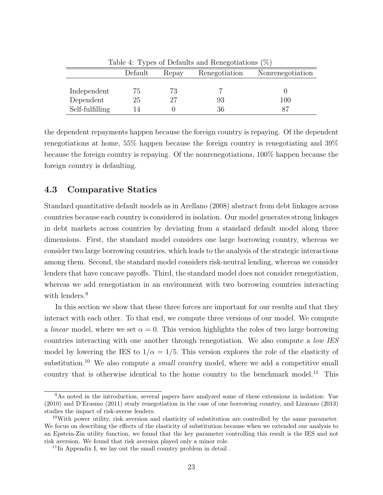|                 | Default        | Repay | Renegotiation | Nonrenegotiation |
|-----------------|----------------|-------|---------------|------------------|
|                 |                |       |               |                  |
| Independent     | $\overline{G}$ | 73    |               |                  |
| Dependent       | 25             | 27    | 93            | 100              |
| Self-fulfilling |                |       | 36            |                  |
|                 |                |       |               |                  |

Table 4: Types of Defaults and Renegotiations (%)

the dependent repayments happen because the foreign country is repaying. Of the dependent renegotiations at home, 55% happen because the foreign country is renegotiating and 39% because the foreign country is repaying. Of the nonrenegotiations, 100% happen because the foreign country is defaulting.

#### 4.3 Comparative Statics

Standard quantitative default models as in Arellano (2008) abstract from debt linkages across countries because each country is considered in isolation. Our model generates strong linkages in debt markets across countries by deviating from a standard default model along three dimensions. First, the standard model considers one large borrowing country, whereas we consider two large borrowing countries, which leads to the analysis of the strategic interactions among them. Second, the standard model considers risk-neutral lending, whereas we consider lenders that have concave payoffs. Third, the standard model does not consider renegotiation, whereas we add renegotiation in an environment with two borrowing countries interacting with lenders.<sup>9</sup>

In this section we show that these three forces are important for our results and that they interact with each other. To that end, we compute three versions of our model. We compute a *linear* model, where we set  $\alpha = 0$ . This version highlights the roles of two large borrowing countries interacting with one another through renegotiation. We also compute a low IES model by lowering the IES to  $1/\alpha = 1/5$ . This version explores the role of the elasticity of substitution.<sup>10</sup> We also compute a *small country* model, where we add a competitive small country that is otherwise identical to the home country to the benchmark model.<sup>11</sup> This

<sup>&</sup>lt;sup>9</sup>As noted in the introduction, several papers have analyzed some of these extensions in isolation: Yue (2010) and D'Erasmo (2011) study renegotiation in the case of one borrowing country, and Lizarazo (2013) studies the impact of risk-averse lenders.

 $10$ With power utility, risk aversion and elasticity of substitution are controlled by the same parameter. We focus on describing the effects of the elasticity of substitution because when we extended our analysis to an Epstein-Zin utility function, we found that the key parameter controlling this result is the IES and not risk aversion. We found that risk aversion played only a minor role.

 $11$ In Appendix I, we lay out the small country problem in detail.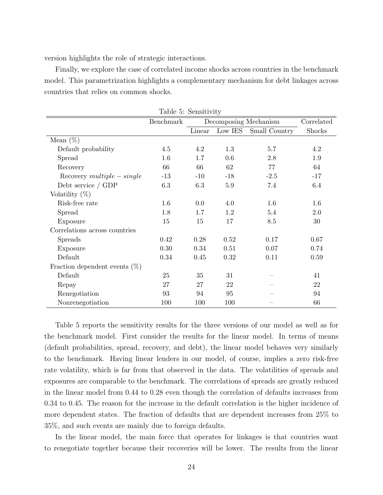version highlights the role of strategic interactions.

Finally, we explore the case of correlated income shocks across countries in the benchmark model. This parametrization highlights a complementary mechanism for debt linkages across countries that relies on common shocks.

|                                  | Benchmark |        |         | Decomposing Mechanism | Correlated |
|----------------------------------|-----------|--------|---------|-----------------------|------------|
|                                  |           | Linear | Low IES | Small Country         | Shocks     |
| Mean $(\%)$                      |           |        |         |                       |            |
| Default probability              | 4.5       | 4.2    | 1.3     | 5.7                   | 4.2        |
| Spread                           | 1.6       | 1.7    | 0.6     | 2.8                   | 1.9        |
| Recovery                         | 66        | 66     | 62      | 77                    | 64         |
| $Recovery \ multiple-single$     | $-13$     | $-10$  | $-18$   | $-2.5$                | $-17$      |
| Debt service $/$ GDP             | 6.3       | 6.3    | $5.9\,$ | 7.4                   | 6.4        |
| Volatility $(\%)$                |           |        |         |                       |            |
| Risk-free rate                   | 1.6       | 0.0    | 4.0     | 1.6                   | 1.6        |
| Spread                           | 1.8       | 1.7    | 1.2     | 5.4                   | 2.0        |
| Exposure                         | 15        | 15     | 17      | 8.5                   | 30         |
| Correlations across countries    |           |        |         |                       |            |
| <b>Spreads</b>                   | 0.42      | 0.28   | 0.52    | 0.17                  | 0.67       |
| Exposure                         | 0.30      | 0.34   | 0.51    | 0.07                  | 0.74       |
| Default                          | 0.34      | 0.45   | 0.32    | 0.11                  | 0.59       |
| Fraction dependent events $(\%)$ |           |        |         |                       |            |
| Default                          | 25        | 35     | 31      |                       | 41         |
| Repay                            | 27        | 27     | 22      |                       | 22         |
| Renegotiation                    | 93        | 94     | 95      |                       | 94         |
| Nonrenegotiation                 | 100       | 100    | 100     |                       | 66         |

Table 5: Sensitivity

Table 5 reports the sensitivity results for the three versions of our model as well as for the benchmark model. First consider the results for the linear model. In terms of means (default probabilities, spread, recovery, and debt), the linear model behaves very similarly to the benchmark. Having linear lenders in our model, of course, implies a zero risk-free rate volatility, which is far from that observed in the data. The volatilities of spreads and exposures are comparable to the benchmark. The correlations of spreads are greatly reduced in the linear model from 0.44 to 0.28 even though the correlation of defaults increases from 0.34 to 0.45. The reason for the increase in the default correlation is the higher incidence of more dependent states. The fraction of defaults that are dependent increases from 25% to 35%, and such events are mainly due to foreign defaults.

In the linear model, the main force that operates for linkages is that countries want to renegotiate together because their recoveries will be lower. The results from the linear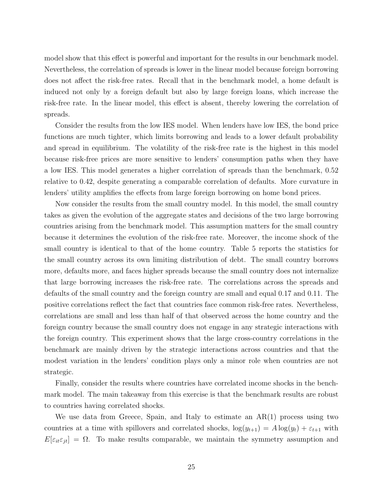model show that this effect is powerful and important for the results in our benchmark model. Nevertheless, the correlation of spreads is lower in the linear model because foreign borrowing does not affect the risk-free rates. Recall that in the benchmark model, a home default is induced not only by a foreign default but also by large foreign loans, which increase the risk-free rate. In the linear model, this effect is absent, thereby lowering the correlation of spreads.

Consider the results from the low IES model. When lenders have low IES, the bond price functions are much tighter, which limits borrowing and leads to a lower default probability and spread in equilibrium. The volatility of the risk-free rate is the highest in this model because risk-free prices are more sensitive to lenders' consumption paths when they have a low IES. This model generates a higher correlation of spreads than the benchmark, 0.52 relative to 0.42, despite generating a comparable correlation of defaults. More curvature in lenders' utility amplifies the effects from large foreign borrowing on home bond prices.

Now consider the results from the small country model. In this model, the small country takes as given the evolution of the aggregate states and decisions of the two large borrowing countries arising from the benchmark model. This assumption matters for the small country because it determines the evolution of the risk-free rate. Moreover, the income shock of the small country is identical to that of the home country. Table 5 reports the statistics for the small country across its own limiting distribution of debt. The small country borrows more, defaults more, and faces higher spreads because the small country does not internalize that large borrowing increases the risk-free rate. The correlations across the spreads and defaults of the small country and the foreign country are small and equal 0.17 and 0.11. The positive correlations reflect the fact that countries face common risk-free rates. Nevertheless, correlations are small and less than half of that observed across the home country and the foreign country because the small country does not engage in any strategic interactions with the foreign country. This experiment shows that the large cross-country correlations in the benchmark are mainly driven by the strategic interactions across countries and that the modest variation in the lenders' condition plays only a minor role when countries are not strategic.

Finally, consider the results where countries have correlated income shocks in the benchmark model. The main takeaway from this exercise is that the benchmark results are robust to countries having correlated shocks.

We use data from Greece, Spain, and Italy to estimate an AR(1) process using two countries at a time with spillovers and correlated shocks,  $\log(y_{t+1}) = A \log(y_t) + \varepsilon_{t+1}$  with  $E[\varepsilon_{it}\varepsilon_{jt}] = \Omega$ . To make results comparable, we maintain the symmetry assumption and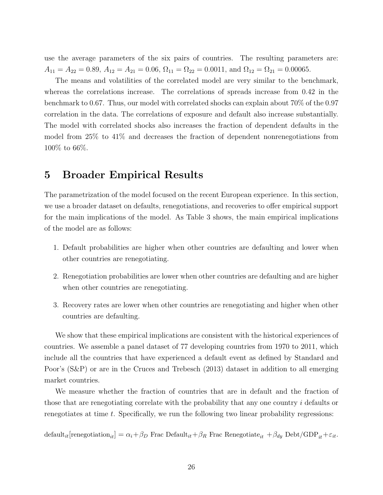use the average parameters of the six pairs of countries. The resulting parameters are:  $A_{11} = A_{22} = 0.89, A_{12} = A_{21} = 0.06, \Omega_{11} = \Omega_{22} = 0.0011, \text{ and } \Omega_{12} = \Omega_{21} = 0.00065.$ 

The means and volatilities of the correlated model are very similar to the benchmark, whereas the correlations increase. The correlations of spreads increase from 0.42 in the benchmark to 0.67. Thus, our model with correlated shocks can explain about 70% of the 0.97 correlation in the data. The correlations of exposure and default also increase substantially. The model with correlated shocks also increases the fraction of dependent defaults in the model from 25% to 41% and decreases the fraction of dependent nonrenegotiations from 100% to 66%.

### 5 Broader Empirical Results

The parametrization of the model focused on the recent European experience. In this section, we use a broader dataset on defaults, renegotiations, and recoveries to offer empirical support for the main implications of the model. As Table 3 shows, the main empirical implications of the model are as follows:

- 1. Default probabilities are higher when other countries are defaulting and lower when other countries are renegotiating.
- 2. Renegotiation probabilities are lower when other countries are defaulting and are higher when other countries are renegotiating.
- 3. Recovery rates are lower when other countries are renegotiating and higher when other countries are defaulting.

We show that these empirical implications are consistent with the historical experiences of countries. We assemble a panel dataset of 77 developing countries from 1970 to 2011, which include all the countries that have experienced a default event as defined by Standard and Poor's (S&P) or are in the Cruces and Trebesch (2013) dataset in addition to all emerging market countries.

We measure whether the fraction of countries that are in default and the fraction of those that are renegotiating correlate with the probability that any one country  $i$  defaults or renegotiates at time  $t$ . Specifically, we run the following two linear probability regressions:

default<sub>it</sub>[renegotiation<sub>it</sub>] =  $\alpha_i + \beta_D$  Frac Default<sub>it</sub> +  $\beta_R$  Frac Renegotiate<sub>it</sub> +  $\beta_{dy}$  Debt/GDP<sub>it</sub> +  $\varepsilon_{it}$ .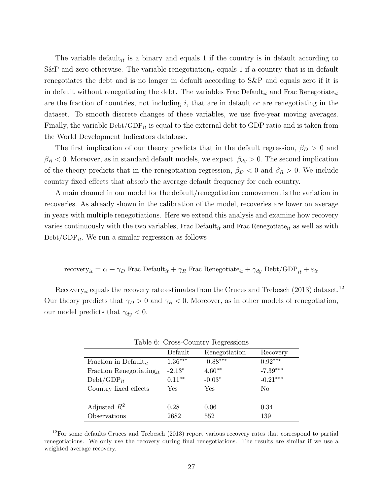The variable default<sub>it</sub> is a binary and equals 1 if the country is in default according to S&P and zero otherwise. The variable renegotiation<sub>it</sub> equals 1 if a country that is in default renegotiates the debt and is no longer in default according to S&P and equals zero if it is in default without renegotiating the debt. The variables Frac Default<sub>it</sub> and Frac Renegotiate<sub>it</sub> are the fraction of countries, not including  $i$ , that are in default or are renegotiating in the dataset. To smooth discrete changes of these variables, we use five-year moving averages. Finally, the variable  $\text{Debt}/\text{GDP}_{it}$  is equal to the external debt to GDP ratio and is taken from the World Development Indicators database.

The first implication of our theory predicts that in the default regression,  $\beta_D > 0$  and  $\beta_R$  < 0. Moreover, as in standard default models, we expect  $\beta_{dy} > 0$ . The second implication of the theory predicts that in the renegotiation regression,  $\beta_D < 0$  and  $\beta_R > 0$ . We include country fixed effects that absorb the average default frequency for each country.

A main channel in our model for the default/renegotiation comovement is the variation in recoveries. As already shown in the calibration of the model, recoveries are lower on average in years with multiple renegotiations. Here we extend this analysis and examine how recovery varies continuously with the two variables, Frac Default<sub>it</sub> and Frac Renegotiate<sub>it</sub> as well as with  $Debt/GDP_{it}$ . We run a similar regression as follows

recovers
$$
_{it}=\alpha+\gamma_D
$$
 Frac Default $_{it}+\gamma_R$  Frac Renegotiate $_{it}+\gamma_{dy}$ Debt/GDP $_{it}+\varepsilon_{it}$ 

Recovery<sub>it</sub> equals the recovery rate estimates from the Cruces and Trebesch (2013) dataset.<sup>12</sup> Our theory predicts that  $\gamma_D > 0$  and  $\gamma_R < 0$ . Moreover, as in other models of renegotiation, our model predicts that  $\gamma_{dy} < 0$ .

|                                      |            | Table 6: Cross-Country Regressions |            |
|--------------------------------------|------------|------------------------------------|------------|
|                                      | Default    | Renegotiation                      | Recovery   |
| Fraction in Default <sub>it</sub>    | $1.36***$  | $-0.88***$                         | $0.92***$  |
| Fraction Renegotiating <sub>it</sub> | $-2.13*$   | $4.60**$                           | $-7.39***$ |
| $Debt/GDP_{it}$                      | $0.11***$  | $-0.03*$                           | $-0.21***$ |
| Country fixed effects                | <b>Yes</b> | Yes                                | No         |
|                                      |            |                                    |            |
| Adjusted $R^2$                       | 0.28       | 0.06                               | 0.34       |
| Observations                         | 2682       | 552                                | 139        |

<sup>&</sup>lt;sup>12</sup>For some defaults Cruces and Trebesch (2013) report various recovery rates that correspond to partial renegotiations. We only use the recovery during final renegotiations. The results are similar if we use a weighted average recovery.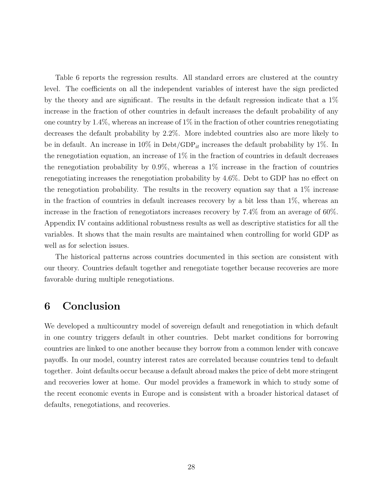Table 6 reports the regression results. All standard errors are clustered at the country level. The coefficients on all the independent variables of interest have the sign predicted by the theory and are significant. The results in the default regression indicate that a 1% increase in the fraction of other countries in default increases the default probability of any one country by  $1.4\%$ , whereas an increase of  $1\%$  in the fraction of other countries renegotiating decreases the default probability by 2.2%. More indebted countries also are more likely to be in default. An increase in  $10\%$  in Debt/GDP<sub>it</sub> increases the default probability by 1%. In the renegotiation equation, an increase of 1% in the fraction of countries in default decreases the renegotiation probability by  $0.9\%$ , whereas a  $1\%$  increase in the fraction of countries renegotiating increases the renegotiation probability by 4.6%. Debt to GDP has no effect on the renegotiation probability. The results in the recovery equation say that a  $1\%$  increase in the fraction of countries in default increases recovery by a bit less than 1%, whereas an increase in the fraction of renegotiators increases recovery by 7.4% from an average of 60%. Appendix IV contains additional robustness results as well as descriptive statistics for all the variables. It shows that the main results are maintained when controlling for world GDP as well as for selection issues.

The historical patterns across countries documented in this section are consistent with our theory. Countries default together and renegotiate together because recoveries are more favorable during multiple renegotiations.

### 6 Conclusion

We developed a multicountry model of sovereign default and renegotiation in which default in one country triggers default in other countries. Debt market conditions for borrowing countries are linked to one another because they borrow from a common lender with concave payoffs. In our model, country interest rates are correlated because countries tend to default together. Joint defaults occur because a default abroad makes the price of debt more stringent and recoveries lower at home. Our model provides a framework in which to study some of the recent economic events in Europe and is consistent with a broader historical dataset of defaults, renegotiations, and recoveries.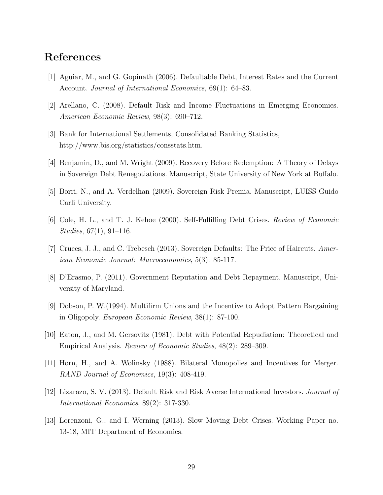# References

- [1] Aguiar, M., and G. Gopinath (2006). Defaultable Debt, Interest Rates and the Current Account. Journal of International Economics, 69(1): 64–83.
- [2] Arellano, C. (2008). Default Risk and Income Fluctuations in Emerging Economies. American Economic Review, 98(3): 690–712.
- [3] Bank for International Settlements, Consolidated Banking Statistics, http://www.bis.org/statistics/consstats.htm.
- [4] Benjamin, D., and M. Wright (2009). Recovery Before Redemption: A Theory of Delays in Sovereign Debt Renegotiations. Manuscript, State University of New York at Buffalo.
- [5] Borri, N., and A. Verdelhan (2009). Sovereign Risk Premia. Manuscript, LUISS Guido Carli University.
- [6] Cole, H. L., and T. J. Kehoe (2000). Self-Fulfilling Debt Crises. Review of Economic Studies, 67(1), 91–116.
- [7] Cruces, J. J., and C. Trebesch (2013). Sovereign Defaults: The Price of Haircuts. American Economic Journal: Macroeconomics, 5(3): 85-117.
- [8] D'Erasmo, P. (2011). Government Reputation and Debt Repayment. Manuscript, University of Maryland.
- [9] Dobson, P. W.(1994). Multifirm Unions and the Incentive to Adopt Pattern Bargaining in Oligopoly. European Economic Review, 38(1): 87-100.
- [10] Eaton, J., and M. Gersovitz (1981). Debt with Potential Repudiation: Theoretical and Empirical Analysis. Review of Economic Studies, 48(2): 289–309.
- [11] Horn, H., and A. Wolinsky (1988). Bilateral Monopolies and Incentives for Merger. RAND Journal of Economics, 19(3): 408-419.
- [12] Lizarazo, S. V. (2013). Default Risk and Risk Averse International Investors. Journal of International Economics, 89(2): 317-330.
- [13] Lorenzoni, G., and I. Werning (2013). Slow Moving Debt Crises. Working Paper no. 13-18, MIT Department of Economics.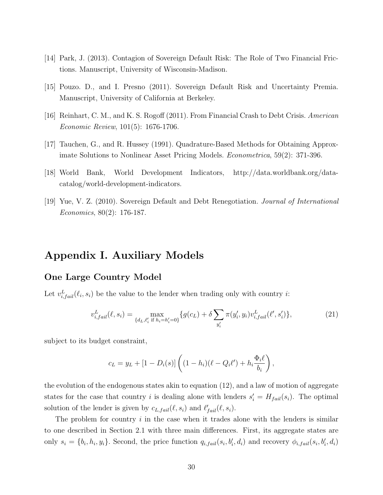- [14] Park, J. (2013). Contagion of Sovereign Default Risk: The Role of Two Financial Frictions. Manuscript, University of Wisconsin-Madison.
- [15] Pouzo. D., and I. Presno (2011). Sovereign Default Risk and Uncertainty Premia. Manuscript, University of California at Berkeley.
- [16] Reinhart, C. M., and K. S. Rogoff (2011). From Financial Crash to Debt Crisis. American Economic Review, 101(5): 1676-1706.
- [17] Tauchen, G., and R. Hussey (1991). Quadrature-Based Methods for Obtaining Approximate Solutions to Nonlinear Asset Pricing Models. Econometrica, 59(2): 371-396.
- [18] World Bank, World Development Indicators, http://data.worldbank.org/datacatalog/world-development-indicators.
- [19] Yue, V. Z. (2010). Sovereign Default and Debt Renegotiation. Journal of International Economics, 80(2): 176-187.

# Appendix I. Auxiliary Models

#### One Large Country Model

Let  $v_{i,fail}^L(\ell_i, s_i)$  be the value to the lender when trading only with country *i*:

$$
v_{i,fail}^L(\ell,s_i) = \max_{\{d_L, \ell'_i \text{ if } h_i = h'_i = 0\}} \{g(c_L) + \delta \sum_{y'_i} \pi(y'_i, y_i) v_{i,fail}^L(\ell', s'_i) \},\tag{21}
$$

subject to its budget constraint,

$$
c_L = y_L + [1 - D_i(s)] \left( (1 - h_i)(\ell - Q_i \ell') + h_i \frac{\Phi_i \ell}{b_i} \right),
$$

the evolution of the endogenous states akin to equation (12), and a law of motion of aggregate states for the case that country i is dealing alone with lenders  $s_i' = H_{fail}(s_i)$ . The optimal solution of the lender is given by  $c_{L,fail}(\ell, s_i)$  and  $\ell'_{fail}(\ell, s_i)$ .

The problem for country  $i$  in the case when it trades alone with the lenders is similar to one described in Section 2.1 with three main differences. First, its aggregate states are only  $s_i = \{b_i, h_i, y_i\}$ . Second, the price function  $q_{i, fail}(s_i, b'_i, d_i)$  and recovery  $\phi_{i,fail}(s_i, b'_i, d_i)$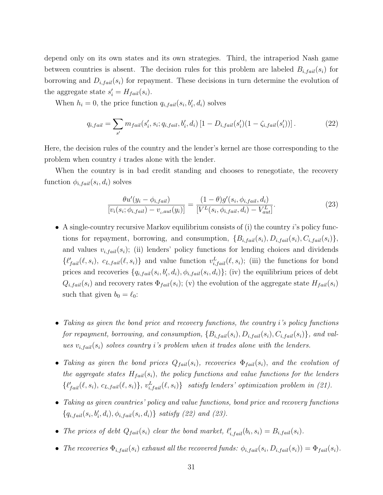depend only on its own states and its own strategies. Third, the intraperiod Nash game between countries is absent. The decision rules for this problem are labeled  $B_{i,fail}(s_i)$  for borrowing and  $D_{i,fail}(s_i)$  for repayment. These decisions in turn determine the evolution of the aggregate state  $s_i' = H_{fail}(s_i)$ .

When  $h_i = 0$ , the price function  $q_{i,fail}(s_i, b'_i, d_i)$  solves

$$
q_{i,fail} = \sum_{s'} m_{fail}(s'_i, s_i; q_{i,fail}, b'_i, d_i) \left[1 - D_{i,fail}(s'_i)(1 - \zeta_{i,fail}(s'_i))\right].
$$
 (22)

Here, the decision rules of the country and the lender's kernel are those corresponding to the problem when country i trades alone with the lender.

When the country is in bad credit standing and chooses to renegotiate, the recovery function  $\phi_{i,fail}(s_i, d_i)$  solves

$$
\frac{\theta u'(y_i - \phi_{i,fail})}{[v_i(s_i; \phi_{i, fail}) - v_{i,aut}(y_i)]} = \frac{(1 - \theta)g'(s_i, \phi_{i,fail}, d_i)}{[V^L(s_i, \phi_{i, fail}, d_i) - V^L_{aut}]}.
$$
\n(23)

- A single-country recursive Markov equilibrium consists of (i) the country i's policy functions for repayment, borrowing, and consumption,  $\{B_{i,fail}(s_i), D_{i,fail}(s_i), C_{i,fail}(s_i)\}\$ and values  $v_{i,fail}(s_i)$ ; (ii) lenders' policy functions for lending choices and dividends  $\{\ell'_{fail}(\ell, s_i), c_{L,fail}(\ell, s_i)\}\$ and value function  $v_{i,fail}^L(\ell, s_i)$ ; (iii) the functions for bond prices and recoveries  $\{q_{i,fail}(s_i, b'_i, d_i), \phi_{i,fail}(s_i, d_i)\}$ ; (iv) the equilibrium prices of debt  $Q_{i,fail}(s_i)$  and recovery rates  $\Phi_{fail}(s_i)$ ; (v) the evolution of the aggregate state  $H_{fail}(s_i)$ such that given  $b_0 = \ell_0$ :
- Taking as given the bond price and recovery functions, the country i's policy functions for repayment, borrowing, and consumption,  $\{B_{i,fail}(s_i), D_{i,fail}(s_i), C_{i,fail}(s_i)\}$ , and values  $v_{i,fail}(s_i)$  solves country i's problem when it trades alone with the lenders.
- Taking as given the bond prices  $Q_{fail}(s_i)$ , recoveries  $\Phi_{fail}(s_i)$ , and the evolution of the aggregate states  $H_{fail}(s_i)$ , the policy functions and value functions for the lenders  $\{\ell'_{fail}(\ell, s_i), c_{L,fail}(\ell, s_i)\}, v_{i, fail}^L(\ell, s_i)\}$  satisfy lenders' optimization problem in (21).
- Taking as given countries' policy and value functions, bond price and recovery functions  ${q_{i,fail}(s_i, b'_i, d_i), \phi_{i,fail}(s_i, d_i)}$  satisfy (22) and (23).
- The prices of debt  $Q_{fail}(s_i)$  clear the bond market,  $\ell'_{i,fail}(b_i, s_i) = B_{i,fail}(s_i)$ .
- The recoveries  $\Phi_{i,fail}(s_i)$  exhaust all the recovered funds:  $\phi_{i,fail}(s_i, D_{i,fail}(s_i)) = \Phi_{fail}(s_i)$ .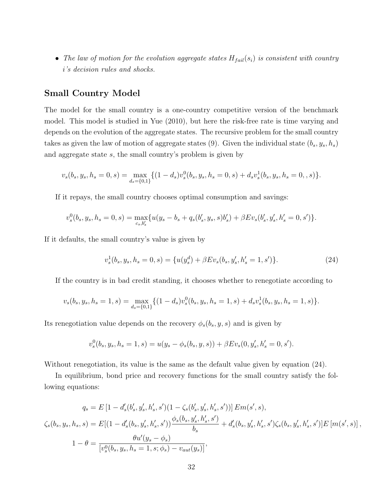• The law of motion for the evolution aggregate states  $H_{fail}(s_i)$  is consistent with country i's decision rules and shocks.

#### Small Country Model

The model for the small country is a one-country competitive version of the benchmark model. This model is studied in Yue (2010), but here the risk-free rate is time varying and depends on the evolution of the aggregate states. The recursive problem for the small country takes as given the law of motion of aggregate states (9). Given the individual state  $(b_s, y_s, h_s)$ and aggregate state s, the small country's problem is given by

$$
v_s(b_s, y_s, h_s = 0, s) = \max_{d_s = \{0, 1\}} \{ (1 - d_s) v_s^0(b_s, y_s, h_s = 0, s) + d_s v_s^1(b_s, y_s, h_s = 0, s) \}.
$$

If it repays, the small country chooses optimal consumption and savings:

$$
v_s^0(b_s, y_s, h_s = 0, s) = \max_{c_s, b'_s} \{ u(y_s - b_s + q_s(b'_s, y_s, s)b'_s) + \beta Ev_s(b'_s, y'_s, h'_s = 0, s') \}.
$$

If it defaults, the small country's value is given by

$$
v_s^1(b_s, y_s, h_s = 0, s) = \{u(y_s^d) + \beta Ev_s(b_s, y_s', h_s' = 1, s')\}.
$$
\n(24)

If the country is in bad credit standing, it chooses whether to renegotiate according to

$$
v_s(b_s, y_s, h_s = 1, s) = \max_{d_s = \{0, 1\}} \{ (1 - d_s) v_s^0(b_s, y_s, h_s = 1, s) + d_s v_s^1(b_s, y_s, h_s = 1, s) \}.
$$

Its renegotiation value depends on the recovery  $\phi_s(b_s, y, s)$  and is given by

$$
v_s^0(b_s, y_s, h_s = 1, s) = u(y_s - \phi_s(b_s, y, s)) + \beta Ev_s(0, y'_s, h'_s = 0, s').
$$

Without renegotiation, its value is the same as the default value given by equation  $(24)$ .

In equilibrium, bond price and recovery functions for the small country satisfy the following equations:

$$
q_s = E\left[1 - d'_s(b'_s, y'_s, h'_s, s')(1 - \zeta_s(b'_s, y'_s, h'_s, s'))\right] Em(s', s),
$$
  

$$
\zeta_s(b_s, y_s, h_s, s) = E\left[(1 - d'_s(b_s, y'_s, h'_s, s'))\frac{\phi_s(b_s, y'_s, h'_s, s')}{b_s} + d'_s(b_s, y'_s, h'_s, s')\zeta_s(b_s, y'_s, h'_s, s')\right] E\left[m(s', s)\right],
$$
  

$$
1 - \theta = \frac{\theta u'(y_s - \phi_s)}{[v_s^0(b_s, y_s, h_s = 1, s; \phi_s) - v_{aut}(y_s)]},
$$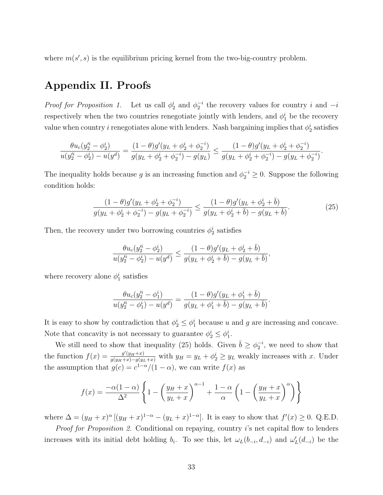where  $m(s', s)$  is the equilibrium pricing kernel from the two-big-country problem.

## Appendix II. Proofs

*Proof for Proposition 1.* Let us call  $\phi_2^i$  and  $\phi_2^{-i}$  the recovery values for country i and  $-i$ respectively when the two countries renegotiate jointly with lenders, and  $\phi_1^i$  be the recovery value when country *i* renegotiates alone with lenders. Nash bargaining implies that  $\phi_2^i$  satisfies

$$
\frac{\theta u_c(y_2^{i} - \phi_2^{i})}{u(y_2^{i} - \phi_2^{i}) - u(y^d)} = \frac{(1 - \theta)g'(y_L + \phi_2^{i} + \phi_2^{-i})}{g(y_L + \phi_2^{i} + \phi_2^{-i}) - g(y_L)} \le \frac{(1 - \theta)g'(y_L + \phi_2^{i} + \phi_2^{-i})}{g(y_L + \phi_2^{i} + \phi_2^{-i}) - g(y_L + \phi_2^{-i})}.
$$

The inequality holds because g is an increasing function and  $\phi_2^{-i} \geq 0$ . Suppose the following condition holds:

$$
\frac{(1-\theta)g'(y_L+\phi_2^i+\phi_2^{-i})}{g(y_L+\phi_2^i+\phi_2^{-i})-g(y_L+\phi_2^{-i})} \le \frac{(1-\theta)g'(y_L+\phi_2^i+\bar{b})}{g(y_L+\phi_2^i+\bar{b})-g(y_L+\bar{b})}.\tag{25}
$$

Then, the recovery under two borrowing countries  $\phi_2^i$  satisfies

$$
\frac{\theta u_c(y_2^{i} - \phi_2^{i})}{u(y_2^{i} - \phi_2^{i}) - u(y^d)} \le \frac{(1 - \theta)g'(y_L + \phi_2^{i} + \bar{b})}{g(y_L + \phi_2^{i} + \bar{b}) - g(y_L + \bar{b})},
$$

where recovery alone  $\phi_1^i$  satisfies

$$
\frac{\theta u_c(y_2'^i - \phi_1^i)}{u(y_2'^i - \phi_1^i) - u(y^d)} = \frac{(1 - \theta)g'(y_L + \phi_1^i + \bar{b})}{g(y_L + \phi_1^i + \bar{b}) - g(y_L + \bar{b})}.
$$

It is easy to show by contradiction that  $\phi_2^i \leq \phi_1^i$  because u and g are increasing and concave. Note that concavity is not necessary to guarantee  $\phi_2^i \leq \phi_1^i$ .

We still need to show that inequality (25) holds. Given  $\bar{b} \geq \phi_2^{-i}$ , we need to show that the function  $f(x) = \frac{g'(y_H + x)}{g(y_H + x) - g(y_L + x)}$  with  $y_H = y_L + \phi_2^i \ge y_L$  weakly increases with x. Under the assumption that  $g(c) = c^{1-\alpha}/(1-\alpha)$ , we can write  $f(x)$  as

$$
f(x) = \frac{-\alpha(1-\alpha)}{\Delta^2} \left\{ 1 - \left(\frac{y_H + x}{y_L + x}\right)^{\alpha - 1} + \frac{1 - \alpha}{\alpha} \left( 1 - \left(\frac{y_H + x}{y_L + x}\right)^{\alpha} \right) \right\}
$$

where  $\Delta = (y_H + x)^{\alpha} [(y_H + x)^{1-\alpha} - (y_L + x)^{1-\alpha}]$ . It is easy to show that  $f'(x) \ge 0$ . Q.E.D. Proof for Proposition 2. Conditional on repaying, country i's net capital flow to lenders increases with its initial debt holding  $b_i$ . To see this, let  $\omega_L(b_{-i}, d_{-i})$  and  $\omega'_L(d_{-i})$  be the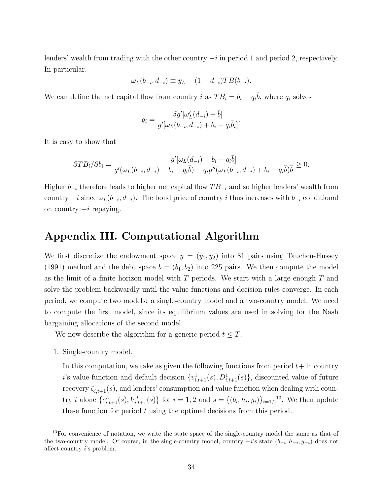lenders' wealth from trading with the other country  $-i$  in period 1 and period 2, respectively. In particular,

$$
\omega_L(b_{-i}, d_{-i}) \equiv y_L + (1 - d_{-i}) T B(b_{-i}).
$$

We can define the net capital flow from country i as  $TB_i = b_i - q_i\overline{b}$ , where  $q_i$  solves

$$
q_i = \frac{\delta g'[\omega_L'(d_{-i}) + \bar{b}]}{g'[\omega_L(b_{-i}, d_{-i}) + b_i - q_i \bar{b}_i]}
$$

.

It is easy to show that

$$
\partial T B_i / \partial b_i = \frac{g'[\omega_L(d_{-i}) + b_i - q_i \bar{b}]}{g'(\omega_L(b_{-i}, d_{-i}) + b_i - q_i \bar{b}) - q_i g''(\omega_L(b_{-i}, d_{-i}) + b_i - q_i \bar{b})\bar{b}} \ge 0.
$$

Higher  $b_{-i}$  therefore leads to higher net capital flow  $TB_{-i}$  and so higher lenders' wealth from country  $-i$  since  $\omega_L(b_{-i}, d_{-i})$ . The bond price of country i thus increases with  $b_{-i}$  conditional on country  $-i$  repaying.

# Appendix III. Computational Algorithm

We first discretize the endowment space  $y = (y_1, y_2)$  into 81 pairs using Tauchen-Hussey (1991) method and the debt space  $b = (b_1, b_2)$  into 225 pairs. We then compute the model as the limit of a finite horizon model with  $T$  periods. We start with a large enough  $T$  and solve the problem backwardly until the value functions and decision rules converge. In each period, we compute two models: a single-country model and a two-country model. We need to compute the first model, since its equilibrium values are used in solving for the Nash bargaining allocations of the second model.

We now describe the algorithm for a generic period  $t \leq T$ .

1. Single-country model.

In this computation, we take as given the following functions from period  $t+1$ : country i's value function and default decision  $\{v_{i,t+1}^1(s), D_{i,t+1}^1(s)\}$ , discounted value of future recovery  $\zeta_{i,t+1}^1(s)$ , and lenders' consumption and value function when dealing with country *i* alone  ${c_{i,t+1}^L(s), V_{i,t+1}^L(s)}$  for  $i = 1, 2$  and  $s = {(b_i, h_i, y_i)}_{i=1,2}^{13}$ . We then update these function for period  $t$  using the optimal decisions from this period.

<sup>&</sup>lt;sup>13</sup>For convenience of notation, we write the state space of the single-country model the same as that of the two-country model. Of course, in the single-country model, country  $-i$ 's state  $(b_{-i}, h_{-i}, y_{-i})$  does not affect country i's problem.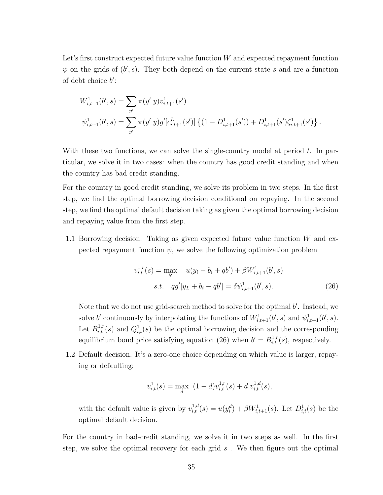Let's first construct expected future value function  $W$  and expected repayment function  $\psi$  on the grids of  $(b', s)$ . They both depend on the current state s and are a function of debt choice  $b$ :

$$
W_{i,t+1}^1(b',s) = \sum_{y'} \pi(y'|y)v_{i,t+1}^1(s')
$$
  

$$
\psi_{i,t+1}^1(b',s) = \sum_{y'} \pi(y'|y)g'[c_{i,t+1}^L(s')] \left\{ (1 - D_{i,t+1}^1(s')) + D_{i,t+1}^1(s')\zeta_{i,t+1}^1(s') \right\}.
$$

With these two functions, we can solve the single-country model at period  $t$ . In particular, we solve it in two cases: when the country has good credit standing and when the country has bad credit standing.

For the country in good credit standing, we solve its problem in two steps. In the first step, we find the optimal borrowing decision conditional on repaying. In the second step, we find the optimal default decision taking as given the optimal borrowing decision and repaying value from the first step.

1.1 Borrowing decision. Taking as given expected future value function W and expected repayment function  $\psi$ , we solve the following optimization problem

$$
v_{i,t}^{1,r}(s) = \max_{b'} \quad u(y_i - b_i + qb') + \beta W_{i,t+1}^1(b', s)
$$
  
s.t. 
$$
qg'[y_L + b_i - qb'] = \delta \psi_{i,t+1}^1(b', s).
$$
 (26)

Note that we do not use grid-search method to solve for the optimal  $b'$ . Instead, we solve b' continuously by interpolating the functions of  $W_{i,t+1}^1(b',s)$  and  $\psi_{i,t+1}^1(b',s)$ . Let  $B_{i,t}^{1,r}(s)$  and  $Q_{i,t}^1(s)$  be the optimal borrowing decision and the corresponding equilibrium bond price satisfying equation (26) when  $b' = B_{i,t}^{1,r}(s)$ , respectively.

1.2 Default decision. It's a zero-one choice depending on which value is larger, repaying or defaulting:

$$
v_{i,t}^1(s) = \max_{d} \ (1-d)v_{i,t}^{1,r}(s) + d v_{i,t}^{1,d}(s),
$$

with the default value is given by  $v_{i,t}^{1,d}(s) = u(y_i^d) + \beta W_{i,t+1}^1(s)$ . Let  $D_{i,t}^1(s)$  be the optimal default decision.

For the country in bad-credit standing, we solve it in two steps as well. In the first step, we solve the optimal recovery for each grid  $s$ . We then figure out the optimal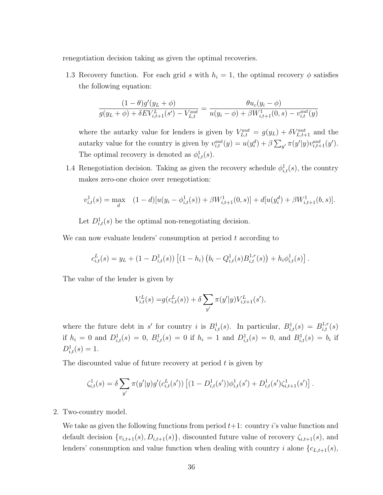renegotiation decision taking as given the optimal recoveries.

1.3 Recovery function. For each grid s with  $h_i = 1$ , the optimal recovery  $\phi$  satisfies the following equation:

$$
\frac{(1-\theta)g'(y_L+\phi)}{g(y_L+\phi)+\delta EV_{i,t+1}^L(s')-V_{L,t}^{aut}} = \frac{\theta u_c(y_i-\phi)}{u(y_i-\phi)+\beta W_{i,t+1}^1(0,s)-v_{i,t}^{aut}(y)}
$$

where the autarky value for lenders is given by  $V_{L,t}^{aut} = g(y_L) + \delta V_{L,t+1}^{aut}$  and the autarky value for the country is given by  $v_{i,t}^{aut}(y) = u(y_i^d) + \beta \sum_{y'} \pi(y'|y) v_{i,t+1}^{aut}(y')$ . The optimal recovery is denoted as  $\phi_{i,t}^1(s)$ .

1.4 Renegotiation decision. Taking as given the recovery schedule  $\phi_{i,t}^1(s)$ , the country makes zero-one choice over renegotiation:

$$
v_{i,t}^1(s) = \max_{d} \quad (1-d)[u(y_i - \phi_{i,t}^1(s)) + \beta W_{i,t+1}^1(0,s)] + d[u(y_i^d) + \beta W_{i,t+1}^1(b,s)].
$$

Let  $D_{i,t}^1(s)$  be the optimal non-renegotiating decision.

We can now evaluate lenders' consumption at period  $t$  according to

$$
c_{i,t}^{L}(s) = y_L + (1 - D_{i,t}^{1}(s)) \left[ (1 - h_i) \left( b_i - Q_{i,t}^{1}(s) B_{i,t}^{1,r}(s) \right) + h_i \phi_{i,t}^{1}(s) \right].
$$

The value of the lender is given by

$$
V_{i,t}^{L}(s) = g(c_{i,t}^{L}(s)) + \delta \sum_{y'} \pi(y'|y) V_{i,t+1}^{L}(s'),
$$

where the future debt in s' for country i is  $B_{i,t}^1(s)$ . In particular,  $B_{i,t}^1(s) = B_{i,t}^{1,r}(s)$ if  $h_i = 0$  and  $D_{i,t}^1(s) = 0$ ,  $B_{i,t}^1(s) = 0$  if  $h_i = 1$  and  $D_{i,t}^1(s) = 0$ , and  $B_{i,t}^1(s) = b_i$  if  $D^1_{i,t}(s) = 1.$ 

The discounted value of future recovery at period  $t$  is given by

$$
\zeta_{i,t}^1(s) = \delta \sum_{y'} \pi(y'|y) g'(c_{i,t}^L(s')) \left[ (1 - D_{i,t}^1(s')) \phi_{i,t}^1(s') + D_{i,t}^1(s') \zeta_{i,t+1}^1(s') \right].
$$

2. Two-country model.

We take as given the following functions from period  $t+1$ : country i's value function and default decision  $\{v_{i,t+1}(s), D_{i,t+1}(s)\}\$ , discounted future value of recovery  $\zeta_{i,t+1}(s)$ , and lenders' consumption and value function when dealing with country i alone  ${c_{L,t+1}(s)}$ ,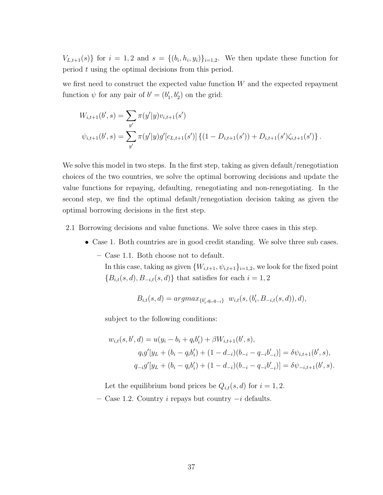$V_{L,t+1}(s)$  for  $i = 1,2$  and  $s = \{(b_i, h_i, y_i)\}_{i=1,2}$ . We then update these function for period t using the optimal decisions from this period.

we first need to construct the expected value function  $W$  and the expected repayment function  $\psi$  for any pair of  $b' = (b'_1, b'_2)$  on the grid:

$$
W_{i,t+1}(b',s) = \sum_{y'} \pi(y'|y)v_{i,t+1}(s')
$$
  

$$
\psi_{i,t+1}(b',s) = \sum_{y'} \pi(y'|y)g'[c_{L,t+1}(s')] \{(1 - D_{i,t+1}(s')) + D_{i,t+1}(s')\zeta_{i,t+1}(s')\}.
$$

We solve this model in two steps. In the first step, taking as given default/renegotiation choices of the two countries, we solve the optimal borrowing decisions and update the value functions for repaying, defaulting, renegotiating and non-renegotiating. In the second step, we find the optimal default/renegotiation decision taking as given the optimal borrowing decisions in the first step.

2.1 Borrowing decisions and value functions. We solve three cases in this step.

- Case 1. Both countries are in good credit standing. We solve three sub cases.
	- Case 1.1. Both choose not to default.

In this case, taking as given  $\{W_{i,t+1}, \psi_{i,t+1}\}_{i=1,2}$ , we look for the fixed point  $\{B_{i,t}(s,d), B_{-i,t}(s,d)\}$  that satisfies for each  $i=1,2$ 

$$
B_{i,t}(s,d) = argmax_{\{b'_i,q_i,q_{-i}\}} w_{i,t}(s,(b'_i,B_{-i,t}(s,d)),d),
$$

subject to the following conditions:

$$
w_{i,t}(s,b',d) = u(y_i - b_i + q_i b'_i) + \beta W_{i,t+1}(b',s),
$$
  
\n
$$
q_i g'[y_L + (b_i - q_i b'_i) + (1 - d_{-i})(b_{-i} - q_{-i} b'_{-i})] = \delta \psi_{i,t+1}(b',s),
$$
  
\n
$$
q_{-i} g'[y_L + (b_i - q_i b'_i) + (1 - d_{-i})(b_{-i} - q_{-i} b'_{-i})] = \delta \psi_{-i,t+1}(b',s).
$$

Let the equilibrium bond prices be  $Q_{i,t}(s, d)$  for  $i = 1, 2$ .

– Case 1.2. Country i repays but country −i defaults.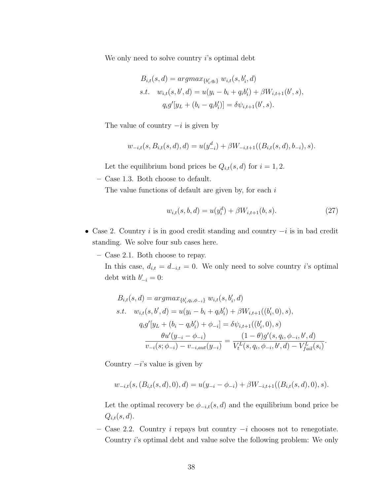We only need to solve country  $i$ 's optimal debt

$$
B_{i,t}(s,d) = argmax_{\{b'_i, q_i\}} w_{i,t}(s, b'_i, d)
$$
  
s.t.  $w_{i,t}(s, b', d) = u(y_i - b_i + q_i b'_i) + \beta W_{i,t+1}(b', s),$   
 $q_i g'[y_L + (b_i - q_i b'_i)] = \delta \psi_{i,t+1}(b', s).$ 

The value of country  $-i$  is given by

$$
w_{-i,t}(s, B_{i,t}(s,d), d) = u(y_{-i}^d) + \beta W_{-i,t+1}((B_{i,t}(s,d), b_{-i}), s).
$$

Let the equilibrium bond prices be  $Q_{i,t}(s, d)$  for  $i = 1, 2$ .

– Case 1.3. Both choose to default.

The value functions of default are given by, for each  $i$ 

$$
w_{i,t}(s,b,d) = u(y_i^d) + \beta W_{i,t+1}(b,s). \tag{27}
$$

- Case 2. Country i is in good credit standing and country  $-i$  is in bad credit standing. We solve four sub cases here.
	- Case 2.1. Both choose to repay.

In this case,  $d_{i,t} = d_{-i,t} = 0$ . We only need to solve country i's optimal debt with  $b'_{-i} = 0$ :

$$
B_{i,t}(s,d) = argmax_{\{b'_i, q_i, \phi_{-i}\}} w_{i,t}(s, b'_i, d)
$$
  
s.t.  $w_{i,t}(s, b', d) = u(y_i - b_i + q_i b'_i) + \beta W_{i,t+1}((b'_i, 0), s),$   
 $q_i g'[y_L + (b_i - q_i b'_i) + \phi_{-i}] = \delta \psi_{i,t+1}((b'_i, 0), s)$   

$$
\frac{\theta u'(y_{-i} - \phi_{-i})}{v_{-i}(s; \phi_{-i}) - v_{-i,aut}(y_{-i})} = \frac{(1 - \theta)g'(s, q_i, \phi_{-i}, b', d)}{V_t^L(s, q_i, \phi_{-i}, b', d) - V_{fail}^L(s_i)}.
$$

Country  $-i$ 's value is given by

$$
w_{-i,t}(s,(B_{i,t}(s,d),0),d) = u(y_{-i} - \phi_{-i}) + \beta W_{-i,t+1}((B_{i,t}(s,d),0),s).
$$

Let the optimal recovery be  $\phi_{-i,t}(s, d)$  and the equilibrium bond price be  $Q_{i,t}(s, d)$ .

– Case 2.2. Country i repays but country  $-i$  chooses not to renegotiate. Country i's optimal debt and value solve the following problem: We only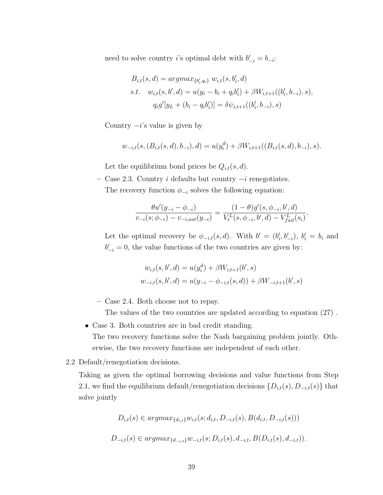need to solve country *i*'s optimal debt with  $b'_{-i} = b_{-i}$ :

$$
B_{i,t}(s,d) = argmax_{\{b'_i, q_i\}} w_{i,t}(s, b'_i, d)
$$
  
s.t. 
$$
w_{i,t}(s, b', d) = u(y_i - b_i + q_i b'_i) + \beta W_{i,t+1}((b'_i, b_{-i}), s),
$$
  

$$
q_i g'[y_L + (b_i - q_i b'_i)] = \delta \psi_{i,t+1}((b'_i, b_{-i}), s)
$$

Country  $-i$ 's value is given by

$$
w_{-i,t}(s,(B_{i,t}(s,d),b_{-i}),d) = u(y_i^d) + \beta W_{i,t+1}((B_{i,t}(s,d),b_{-i}),s).
$$

Let the equilibrium bond prices be  $Q_{i,t}(s, d)$ .

– Case 2.3. Country i defaults but country −i renegotiates. The recovery function  $\phi_{-i}$  solves the following equation:

$$
\frac{\theta u'(y_{-i} - \phi_{-i})}{v_{-i}(s; \phi_{-i}) - v_{-i,aut}(y_{-i})} = \frac{(1 - \theta)g'(s, \phi_{-i}, b', d)}{V_t^L(s, \phi_{-i}, b', d) - V_{fail}^L(s_i)}.
$$

Let the optimal recovery be  $\phi_{-i,t}(s, d)$ . With  $b' = (b'_i, b'_{-i}), b'_i = b_i$  and  $b'_{-i} = 0$ , the value functions of the two countries are given by:

$$
w_{i,t}(s, b', d) = u(y_i^d) + \beta W_{i,t+1}(b', s)
$$
  

$$
w_{-i,t}(s, b', d) = u(y_{-i} - \phi_{-i,t}(s, d)) + \beta W_{-i,t+1}(b', s)
$$

– Case 2.4. Both choose not to repay.

The values of the two countries are updated according to equation (27) .

• Case 3. Both countries are in bad credit standing.

The two recovery functions solve the Nash bargaining problem jointly. Otherwise, the two recovery functions are independent of each other.

2.2 Default/renegotiation decisions.

Taking as given the optimal borrowing decisions and value functions from Step 2.1, we find the equilibrium default/renegotiation decisions  $\{D_{i,t}(s), D_{-i,t}(s)\}\$  that solve jointly

$$
D_{i,t}(s) \in argmax_{\{d_{i,t}\}} w_{i,t}(s; d_{i,t}, D_{-i,t}(s), B(d_{i,t}, D_{-i,t}(s)))
$$
  

$$
D_{-i,t}(s) \in argmax_{\{d_{-i,t}\}} w_{-i,t}(s; D_{i,t}(s), d_{-i,t}, B(D_{i,t}(s), d_{-i,t})).
$$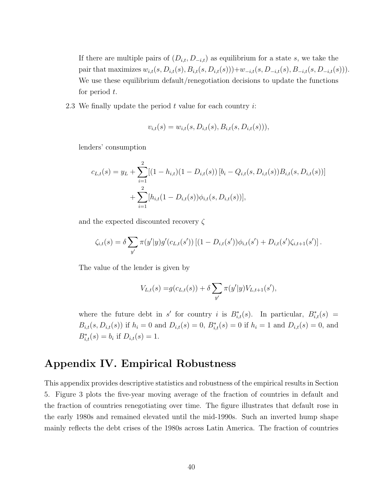If there are multiple pairs of  $(D_{i,t}, D_{-i,t})$  as equilibrium for a state s, we take the pair that maximizes  $w_{i,t}(s, D_{i,t}(s), B_{i,t}(s, D_{i,t}(s))) + w_{-i,t}(s, D_{-i,t}(s), B_{-i,t}(s, D_{-i,t}(s))).$ We use these equilibrium default/renegotiation decisions to update the functions for period  $t$ .

2.3 We finally update the period  $t$  value for each country  $i$ :

$$
v_{i,t}(s) = w_{i,t}(s, D_{i,t}(s), B_{i,t}(s, D_{i,t}(s))),
$$

lenders' consumption

$$
c_{L,t}(s) = y_L + \sum_{i=1}^{2} [(1 - h_{i,t})(1 - D_{i,t}(s)) [b_i - Q_{i,t}(s, D_{i,t}(s))B_{i,t}(s, D_{i,t}(s))]
$$
  
+ 
$$
\sum_{i=1}^{2} [h_{i,t}(1 - D_{i,t}(s))\phi_{i,t}(s, D_{i,t}(s))],
$$

and the expected discounted recovery  $\zeta$ 

$$
\zeta_{i,t}(s) = \delta \sum_{y'} \pi(y'|y) g'(c_{L,t}(s')) [(1 - D_{i,t}(s')) \phi_{i,t}(s') + D_{i,t}(s') \zeta_{i,t+1}(s')].
$$

The value of the lender is given by

$$
V_{L,t}(s) = g(c_{L,t}(s)) + \delta \sum_{y'} \pi(y'|y) V_{L,t+1}(s'),
$$

where the future debt in s' for country i is  $B^*_{i,t}(s)$ . In particular,  $B^*_{i,t}(s)$  =  $B_{i,t}(s, D_{i,t}(s))$  if  $h_i = 0$  and  $D_{i,t}(s) = 0$ ,  $B_{i,t}^*(s) = 0$  if  $h_i = 1$  and  $D_{i,t}(s) = 0$ , and  $B_{i,t}^*(s) = b_i$  if  $D_{i,t}(s) = 1$ .

# Appendix IV. Empirical Robustness

This appendix provides descriptive statistics and robustness of the empirical results in Section 5. Figure 3 plots the five-year moving average of the fraction of countries in default and the fraction of countries renegotiating over time. The figure illustrates that default rose in the early 1980s and remained elevated until the mid-1990s. Such an inverted hump shape mainly reflects the debt crises of the 1980s across Latin America. The fraction of countries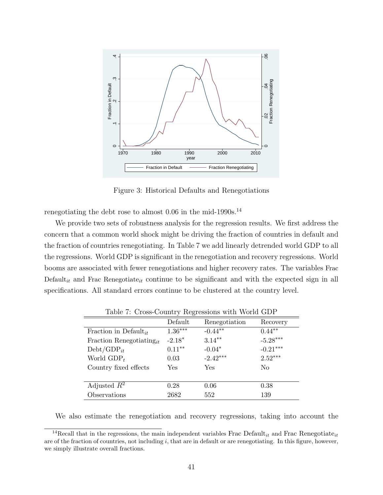

Figure 3: Historical Defaults and Renegotiations

renegotiating the debt rose to almost  $0.06$  in the mid-1990s.<sup>14</sup>

We provide two sets of robustness analysis for the regression results. We first address the concern that a common world shock might be driving the fraction of countries in default and the fraction of countries renegotiating. In Table 7 we add linearly detrended world GDP to all the regressions. World GDP is significant in the renegotiation and recovery regressions. World booms are associated with fewer renegotiations and higher recovery rates. The variables Frac Default<sub>it</sub> and Frac Renegotiate<sub>it</sub> continue to be significant and with the expected sign in all specifications. All standard errors continue to be clustered at the country level.

|                                      | Default   | Renegotiation | Recovery       |
|--------------------------------------|-----------|---------------|----------------|
| Fraction in Default <sub>it</sub>    | $1.36***$ | $-0.44**$     | $0.44***$      |
| Fraction Renegotiating <sub>it</sub> | $-2.18*$  | $3.14***$     | $-5.28***$     |
| $Debt/GDP_{it}$                      | $0.11***$ | $-0.04*$      | $-0.21***$     |
| World $GDP_t$                        | 0.03      | $-2.42***$    | $2.52***$      |
| Country fixed effects                | Yes       | Yes           | N <sub>0</sub> |
|                                      |           |               |                |
| Adjusted $R^2$                       | 0.28      | 0.06          | 0.38           |
| Observations                         | 2682      | 552           | 139            |

Table 7: Cross-Country Regressions with World GDP

We also estimate the renegotiation and recovery regressions, taking into account the

<sup>&</sup>lt;sup>14</sup>Recall that in the regressions, the main independent variables Frac Default<sub>it</sub> and Frac Renegotiate<sub>it</sub> are of the fraction of countries, not including  $i$ , that are in default or are renegotiating. In this figure, however, we simply illustrate overall fractions.